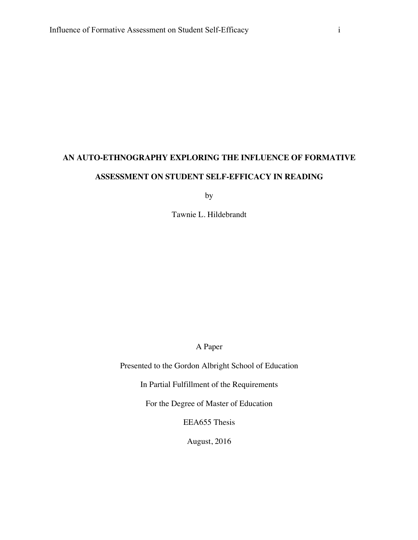## **AN AUTO-ETHNOGRAPHY EXPLORING THE INFLUENCE OF FORMATIVE ASSESSMENT ON STUDENT SELF-EFFICACY IN READING**

by

Tawnie L. Hildebrandt

A Paper

Presented to the Gordon Albright School of Education

In Partial Fulfillment of the Requirements

For the Degree of Master of Education

EEA655 Thesis

August, 2016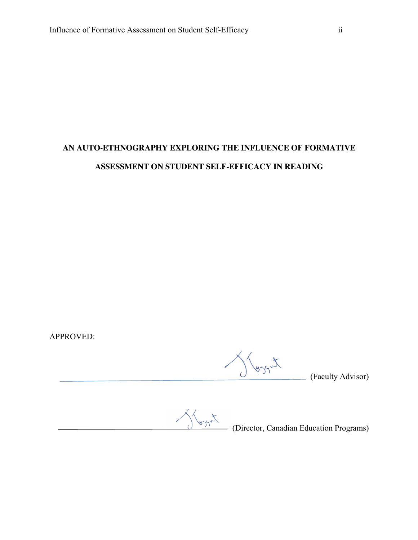## **AN AUTO-ETHNOGRAPHY EXPLORING THE INFLUENCE OF FORMATIVE ASSESSMENT ON STUDENT SELF-EFFICACY IN READING**

APPROVED:

 $\bigvee_{\text{asym}}$  (Faculty Advisor)

 $\bigotimes_{g \in S} \bigotimes_{g \in S} \mathcal{N}(S)$  (Director, Canadian Education Programs)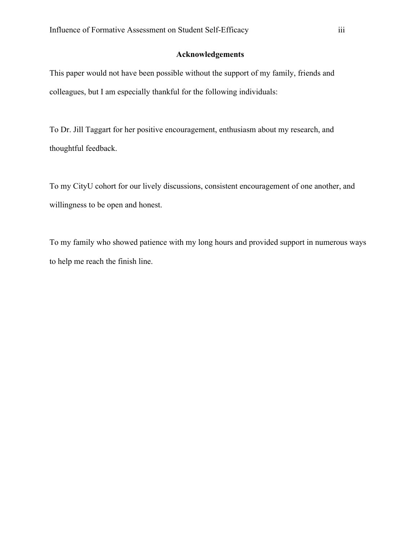## **Acknowledgements**

This paper would not have been possible without the support of my family, friends and colleagues, but I am especially thankful for the following individuals:

To Dr. Jill Taggart for her positive encouragement, enthusiasm about my research, and thoughtful feedback.

To my CityU cohort for our lively discussions, consistent encouragement of one another, and willingness to be open and honest.

To my family who showed patience with my long hours and provided support in numerous ways to help me reach the finish line.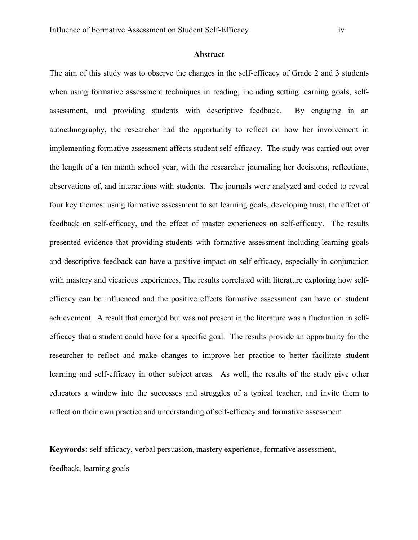## **Abstract**

The aim of this study was to observe the changes in the self-efficacy of Grade 2 and 3 students when using formative assessment techniques in reading, including setting learning goals, selfassessment, and providing students with descriptive feedback. By engaging in an autoethnography, the researcher had the opportunity to reflect on how her involvement in implementing formative assessment affects student self-efficacy. The study was carried out over the length of a ten month school year, with the researcher journaling her decisions, reflections, observations of, and interactions with students. The journals were analyzed and coded to reveal four key themes: using formative assessment to set learning goals, developing trust, the effect of feedback on self-efficacy, and the effect of master experiences on self-efficacy. The results presented evidence that providing students with formative assessment including learning goals and descriptive feedback can have a positive impact on self-efficacy, especially in conjunction with mastery and vicarious experiences. The results correlated with literature exploring how selfefficacy can be influenced and the positive effects formative assessment can have on student achievement. A result that emerged but was not present in the literature was a fluctuation in selfefficacy that a student could have for a specific goal. The results provide an opportunity for the researcher to reflect and make changes to improve her practice to better facilitate student learning and self-efficacy in other subject areas. As well, the results of the study give other educators a window into the successes and struggles of a typical teacher, and invite them to reflect on their own practice and understanding of self-efficacy and formative assessment.

**Keywords:** self-efficacy, verbal persuasion, mastery experience, formative assessment,

feedback, learning goals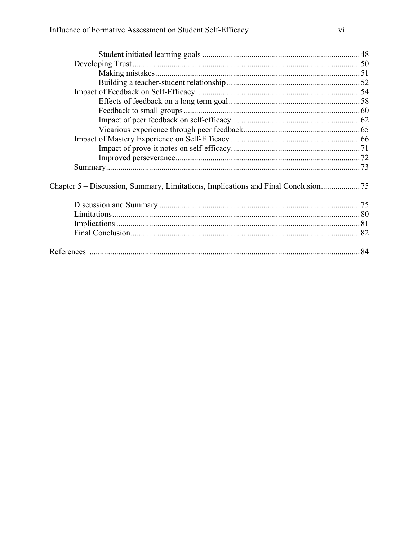| Chapter 5 – Discussion, Summary, Limitations, Implications and Final Conclusion |  |
|---------------------------------------------------------------------------------|--|
|                                                                                 |  |
|                                                                                 |  |
|                                                                                 |  |
|                                                                                 |  |
|                                                                                 |  |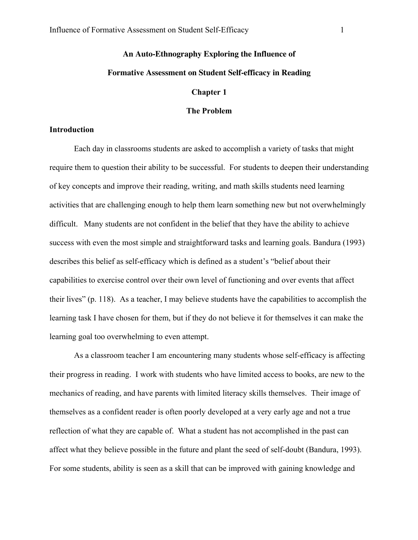# **An Auto-Ethnography Exploring the Influence of**

## **Formative Assessment on Student Self-efficacy in Reading**

#### **Chapter 1**

## **The Problem**

#### **Introduction**

Each day in classrooms students are asked to accomplish a variety of tasks that might require them to question their ability to be successful. For students to deepen their understanding of key concepts and improve their reading, writing, and math skills students need learning activities that are challenging enough to help them learn something new but not overwhelmingly difficult. Many students are not confident in the belief that they have the ability to achieve success with even the most simple and straightforward tasks and learning goals. Bandura (1993) describes this belief as self-efficacy which is defined as a student's "belief about their capabilities to exercise control over their own level of functioning and over events that affect their lives" (p. 118). As a teacher, I may believe students have the capabilities to accomplish the learning task I have chosen for them, but if they do not believe it for themselves it can make the learning goal too overwhelming to even attempt.

As a classroom teacher I am encountering many students whose self-efficacy is affecting their progress in reading. I work with students who have limited access to books, are new to the mechanics of reading, and have parents with limited literacy skills themselves. Their image of themselves as a confident reader is often poorly developed at a very early age and not a true reflection of what they are capable of. What a student has not accomplished in the past can affect what they believe possible in the future and plant the seed of self-doubt (Bandura, 1993). For some students, ability is seen as a skill that can be improved with gaining knowledge and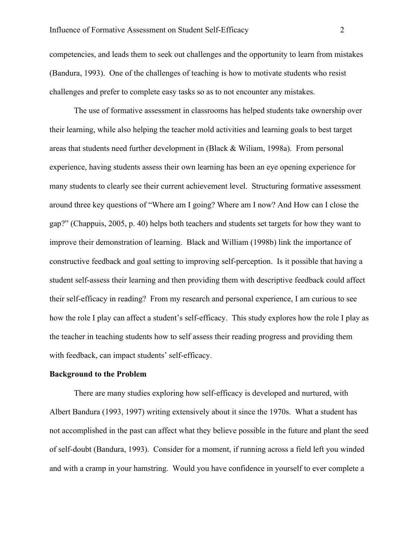competencies, and leads them to seek out challenges and the opportunity to learn from mistakes (Bandura, 1993). One of the challenges of teaching is how to motivate students who resist challenges and prefer to complete easy tasks so as to not encounter any mistakes.

The use of formative assessment in classrooms has helped students take ownership over their learning, while also helping the teacher mold activities and learning goals to best target areas that students need further development in (Black & Wiliam, 1998a). From personal experience, having students assess their own learning has been an eye opening experience for many students to clearly see their current achievement level. Structuring formative assessment around three key questions of "Where am I going? Where am I now? And How can I close the gap?" (Chappuis, 2005, p. 40) helps both teachers and students set targets for how they want to improve their demonstration of learning. Black and William (1998b) link the importance of constructive feedback and goal setting to improving self-perception. Is it possible that having a student self-assess their learning and then providing them with descriptive feedback could affect their self-efficacy in reading? From my research and personal experience, I am curious to see how the role I play can affect a student's self-efficacy. This study explores how the role I play as the teacher in teaching students how to self assess their reading progress and providing them with feedback, can impact students' self-efficacy.

#### **Background to the Problem**

There are many studies exploring how self-efficacy is developed and nurtured, with Albert Bandura (1993, 1997) writing extensively about it since the 1970s. What a student has not accomplished in the past can affect what they believe possible in the future and plant the seed of self-doubt (Bandura, 1993). Consider for a moment, if running across a field left you winded and with a cramp in your hamstring. Would you have confidence in yourself to ever complete a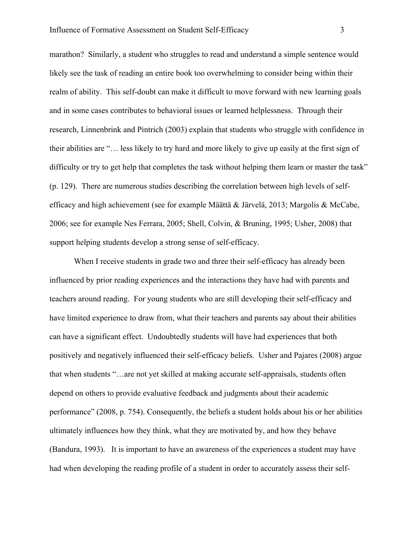marathon? Similarly, a student who struggles to read and understand a simple sentence would likely see the task of reading an entire book too overwhelming to consider being within their realm of ability. This self-doubt can make it difficult to move forward with new learning goals and in some cases contributes to behavioral issues or learned helplessness. Through their research, Linnenbrink and Pintrich (2003) explain that students who struggle with confidence in their abilities are "… less likely to try hard and more likely to give up easily at the first sign of difficulty or try to get help that completes the task without helping them learn or master the task" (p. 129). There are numerous studies describing the correlation between high levels of selfefficacy and high achievement (see for example Määttä & Järvelä, 2013; Margolis & McCabe, 2006; see for example Nes Ferrara, 2005; Shell, Colvin, & Bruning, 1995; Usher, 2008) that support helping students develop a strong sense of self-efficacy.

When I receive students in grade two and three their self-efficacy has already been influenced by prior reading experiences and the interactions they have had with parents and teachers around reading. For young students who are still developing their self-efficacy and have limited experience to draw from, what their teachers and parents say about their abilities can have a significant effect. Undoubtedly students will have had experiences that both positively and negatively influenced their self-efficacy beliefs. Usher and Pajares (2008) argue that when students "…are not yet skilled at making accurate self-appraisals, students often depend on others to provide evaluative feedback and judgments about their academic performance" (2008, p. 754). Consequently, the beliefs a student holds about his or her abilities ultimately influences how they think, what they are motivated by, and how they behave (Bandura, 1993). It is important to have an awareness of the experiences a student may have had when developing the reading profile of a student in order to accurately assess their self-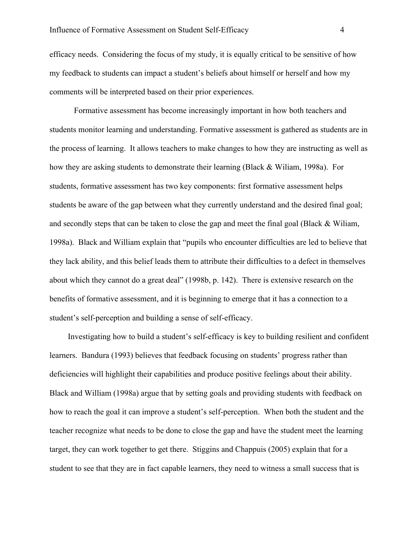efficacy needs. Considering the focus of my study, it is equally critical to be sensitive of how my feedback to students can impact a student's beliefs about himself or herself and how my comments will be interpreted based on their prior experiences.

Formative assessment has become increasingly important in how both teachers and students monitor learning and understanding. Formative assessment is gathered as students are in the process of learning. It allows teachers to make changes to how they are instructing as well as how they are asking students to demonstrate their learning (Black & Wiliam, 1998a). For students, formative assessment has two key components: first formative assessment helps students be aware of the gap between what they currently understand and the desired final goal; and secondly steps that can be taken to close the gap and meet the final goal (Black & Wiliam, 1998a). Black and William explain that "pupils who encounter difficulties are led to believe that they lack ability, and this belief leads them to attribute their difficulties to a defect in themselves about which they cannot do a great deal" (1998b, p. 142). There is extensive research on the benefits of formative assessment, and it is beginning to emerge that it has a connection to a student's self-perception and building a sense of self-efficacy.

Investigating how to build a student's self-efficacy is key to building resilient and confident learners. Bandura (1993) believes that feedback focusing on students' progress rather than deficiencies will highlight their capabilities and produce positive feelings about their ability. Black and William (1998a) argue that by setting goals and providing students with feedback on how to reach the goal it can improve a student's self-perception. When both the student and the teacher recognize what needs to be done to close the gap and have the student meet the learning target, they can work together to get there. Stiggins and Chappuis (2005) explain that for a student to see that they are in fact capable learners, they need to witness a small success that is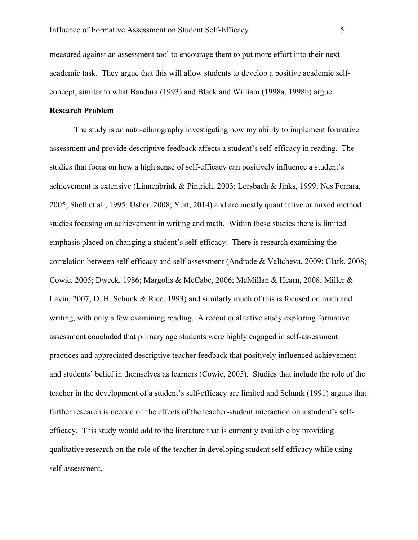measured against an assessment tool to encourage them to put more effort into their next academic task. They argue that this will allow students to develop a positive academic selfconcept, similar to what Bandura (1993) and Black and William (1998a, 1998b) argue.

## **Research Problem**

The study is an auto-ethnography investigating how my ability to implement formative assessment and provide descriptive feedback affects a student's self-efficacy in reading. The studies that focus on how a high sense of self-efficacy can positively influence a student's achievement is extensive (Linnenbrink & Pintrich, 2003; Lorsbach & Jinks, 1999; Nes Ferrara, 2005; Shell et al., 1995; Usher, 2008; Yurt, 2014) and are mostly quantitative or mixed method studies focusing on achievement in writing and math. Within these studies there is limited emphasis placed on changing a student's self-efficacy. There is research examining the correlation between self-efficacy and self-assessment (Andrade & Valtcheva, 2009; Clark, 2008; Cowie, 2005; Dweck, 1986; Margolis & McCabe, 2006; McMillan & Hearn, 2008; Miller & Lavin, 2007; D. H. Schunk & Rice, 1993) and similarly much of this is focused on math and writing, with only a few examining reading. A recent qualitative study exploring formative assessment concluded that primary age students were highly engaged in self-assessment practices and appreciated descriptive teacher feedback that positively influenced achievement and students' belief in themselves as learners (Cowie, 2005). Studies that include the role of the teacher in the development of a student's self-efficacy are limited and Schunk (1991) argues that further research is needed on the effects of the teacher-student interaction on a student's selfefficacy. This study would add to the literature that is currently available by providing qualitative research on the role of the teacher in developing student self-efficacy while using self-assessment.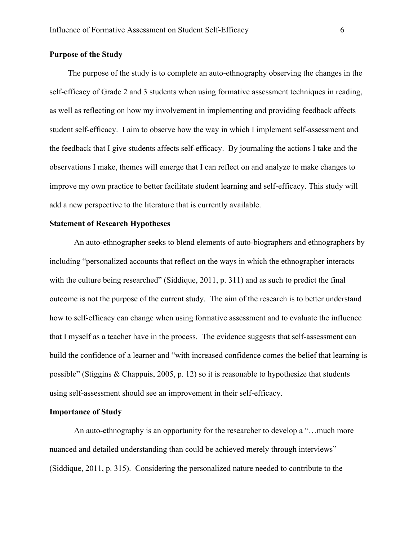#### **Purpose of the Study**

The purpose of the study is to complete an auto-ethnography observing the changes in the self-efficacy of Grade 2 and 3 students when using formative assessment techniques in reading, as well as reflecting on how my involvement in implementing and providing feedback affects student self-efficacy. I aim to observe how the way in which I implement self-assessment and the feedback that I give students affects self-efficacy. By journaling the actions I take and the observations I make, themes will emerge that I can reflect on and analyze to make changes to improve my own practice to better facilitate student learning and self-efficacy. This study will add a new perspective to the literature that is currently available.

#### **Statement of Research Hypotheses**

An auto-ethnographer seeks to blend elements of auto-biographers and ethnographers by including "personalized accounts that reflect on the ways in which the ethnographer interacts with the culture being researched" (Siddique, 2011, p. 311) and as such to predict the final outcome is not the purpose of the current study. The aim of the research is to better understand how to self-efficacy can change when using formative assessment and to evaluate the influence that I myself as a teacher have in the process. The evidence suggests that self-assessment can build the confidence of a learner and "with increased confidence comes the belief that learning is possible" (Stiggins & Chappuis, 2005, p. 12) so it is reasonable to hypothesize that students using self-assessment should see an improvement in their self-efficacy.

#### **Importance of Study**

An auto-ethnography is an opportunity for the researcher to develop a "…much more nuanced and detailed understanding than could be achieved merely through interviews" (Siddique, 2011, p. 315). Considering the personalized nature needed to contribute to the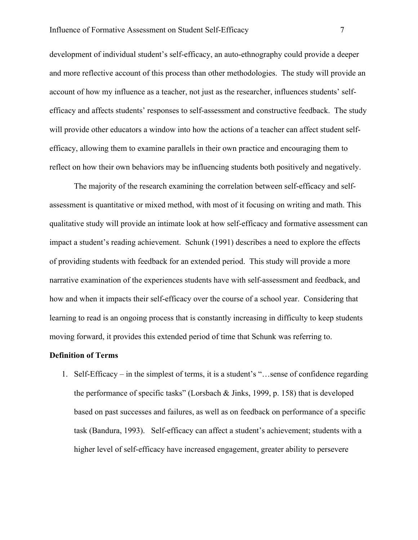development of individual student's self-efficacy, an auto-ethnography could provide a deeper and more reflective account of this process than other methodologies. The study will provide an account of how my influence as a teacher, not just as the researcher, influences students' selfefficacy and affects students' responses to self-assessment and constructive feedback. The study will provide other educators a window into how the actions of a teacher can affect student selfefficacy, allowing them to examine parallels in their own practice and encouraging them to reflect on how their own behaviors may be influencing students both positively and negatively.

The majority of the research examining the correlation between self-efficacy and selfassessment is quantitative or mixed method, with most of it focusing on writing and math. This qualitative study will provide an intimate look at how self-efficacy and formative assessment can impact a student's reading achievement. Schunk (1991) describes a need to explore the effects of providing students with feedback for an extended period. This study will provide a more narrative examination of the experiences students have with self-assessment and feedback, and how and when it impacts their self-efficacy over the course of a school year. Considering that learning to read is an ongoing process that is constantly increasing in difficulty to keep students moving forward, it provides this extended period of time that Schunk was referring to.

#### **Definition of Terms**

1. Self-Efficacy – in the simplest of terms, it is a student's "…sense of confidence regarding the performance of specific tasks" (Lorsbach & Jinks, 1999, p. 158) that is developed based on past successes and failures, as well as on feedback on performance of a specific task (Bandura, 1993). Self-efficacy can affect a student's achievement; students with a higher level of self-efficacy have increased engagement, greater ability to persevere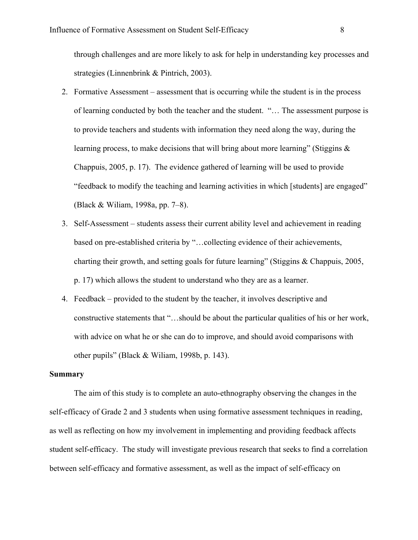through challenges and are more likely to ask for help in understanding key processes and strategies (Linnenbrink & Pintrich, 2003).

- 2. Formative Assessment assessment that is occurring while the student is in the process of learning conducted by both the teacher and the student. "… The assessment purpose is to provide teachers and students with information they need along the way, during the learning process, to make decisions that will bring about more learning" (Stiggins & Chappuis, 2005, p. 17). The evidence gathered of learning will be used to provide "feedback to modify the teaching and learning activities in which [students] are engaged" (Black & Wiliam, 1998a, pp. 7–8).
- 3. Self-Assessment students assess their current ability level and achievement in reading based on pre-established criteria by "…collecting evidence of their achievements, charting their growth, and setting goals for future learning" (Stiggins & Chappuis, 2005, p. 17) which allows the student to understand who they are as a learner.
- 4. Feedback provided to the student by the teacher, it involves descriptive and constructive statements that "…should be about the particular qualities of his or her work, with advice on what he or she can do to improve, and should avoid comparisons with other pupils" (Black & Wiliam, 1998b, p. 143).

## **Summary**

The aim of this study is to complete an auto-ethnography observing the changes in the self-efficacy of Grade 2 and 3 students when using formative assessment techniques in reading, as well as reflecting on how my involvement in implementing and providing feedback affects student self-efficacy. The study will investigate previous research that seeks to find a correlation between self-efficacy and formative assessment, as well as the impact of self-efficacy on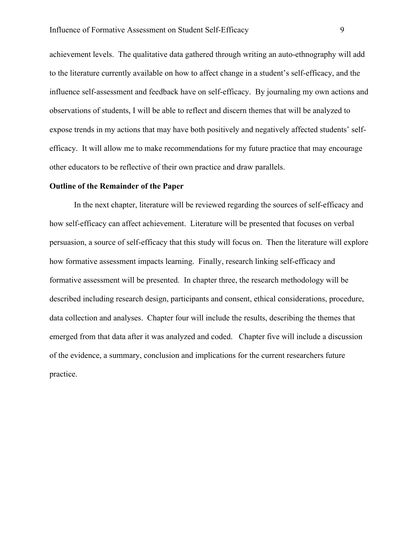achievement levels. The qualitative data gathered through writing an auto-ethnography will add to the literature currently available on how to affect change in a student's self-efficacy, and the influence self-assessment and feedback have on self-efficacy. By journaling my own actions and observations of students, I will be able to reflect and discern themes that will be analyzed to expose trends in my actions that may have both positively and negatively affected students' selfefficacy. It will allow me to make recommendations for my future practice that may encourage other educators to be reflective of their own practice and draw parallels.

#### **Outline of the Remainder of the Paper**

In the next chapter, literature will be reviewed regarding the sources of self-efficacy and how self-efficacy can affect achievement. Literature will be presented that focuses on verbal persuasion, a source of self-efficacy that this study will focus on. Then the literature will explore how formative assessment impacts learning. Finally, research linking self-efficacy and formative assessment will be presented. In chapter three, the research methodology will be described including research design, participants and consent, ethical considerations, procedure, data collection and analyses. Chapter four will include the results, describing the themes that emerged from that data after it was analyzed and coded. Chapter five will include a discussion of the evidence, a summary, conclusion and implications for the current researchers future practice.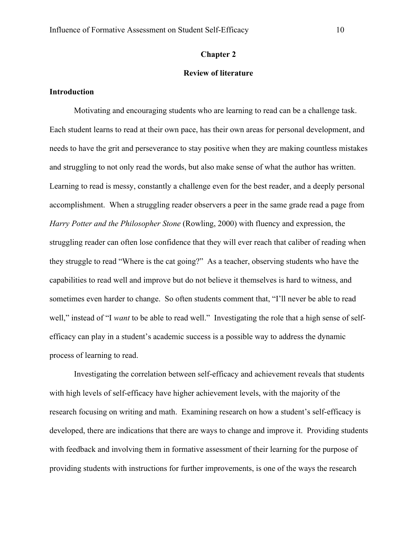#### **Chapter 2**

## **Review of literature**

#### **Introduction**

Motivating and encouraging students who are learning to read can be a challenge task. Each student learns to read at their own pace, has their own areas for personal development, and needs to have the grit and perseverance to stay positive when they are making countless mistakes and struggling to not only read the words, but also make sense of what the author has written. Learning to read is messy, constantly a challenge even for the best reader, and a deeply personal accomplishment. When a struggling reader observers a peer in the same grade read a page from *Harry Potter and the Philosopher Stone* (Rowling, 2000) with fluency and expression, the struggling reader can often lose confidence that they will ever reach that caliber of reading when they struggle to read "Where is the cat going?" As a teacher, observing students who have the capabilities to read well and improve but do not believe it themselves is hard to witness, and sometimes even harder to change. So often students comment that, "I'll never be able to read well," instead of "I *want* to be able to read well." Investigating the role that a high sense of selfefficacy can play in a student's academic success is a possible way to address the dynamic process of learning to read.

Investigating the correlation between self-efficacy and achievement reveals that students with high levels of self-efficacy have higher achievement levels, with the majority of the research focusing on writing and math. Examining research on how a student's self-efficacy is developed, there are indications that there are ways to change and improve it. Providing students with feedback and involving them in formative assessment of their learning for the purpose of providing students with instructions for further improvements, is one of the ways the research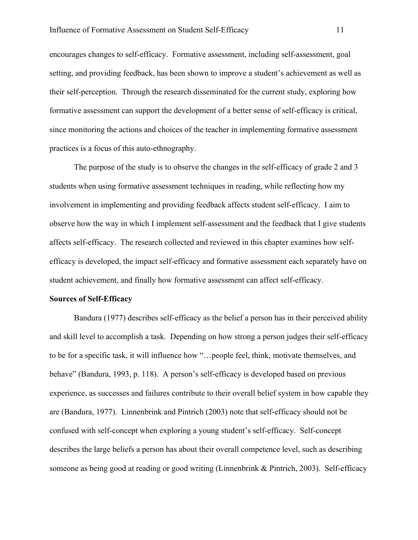encourages changes to self-efficacy. Formative assessment, including self-assessment, goal setting, and providing feedback, has been shown to improve a student's achievement as well as their self-perception. Through the research disseminated for the current study, exploring how formative assessment can support the development of a better sense of self-efficacy is critical, since monitoring the actions and choices of the teacher in implementing formative assessment practices is a focus of this auto-ethnography.

The purpose of the study is to observe the changes in the self-efficacy of grade 2 and 3 students when using formative assessment techniques in reading, while reflecting how my involvement in implementing and providing feedback affects student self-efficacy. I aim to observe how the way in which I implement self-assessment and the feedback that I give students affects self-efficacy. The research collected and reviewed in this chapter examines how selfefficacy is developed, the impact self-efficacy and formative assessment each separately have on student achievement, and finally how formative assessment can affect self-efficacy.

#### **Sources of Self-Efficacy**

Bandura (1977) describes self-efficacy as the belief a person has in their perceived ability and skill level to accomplish a task. Depending on how strong a person judges their self-efficacy to be for a specific task, it will influence how "…people feel, think, motivate themselves, and behave" (Bandura, 1993, p. 118). A person's self-efficacy is developed based on previous experience, as successes and failures contribute to their overall belief system in how capable they are (Bandura, 1977). Linnenbrink and Pintrich (2003) note that self-efficacy should not be confused with self-concept when exploring a young student's self-efficacy. Self-concept describes the large beliefs a person has about their overall competence level, such as describing someone as being good at reading or good writing (Linnenbrink & Pintrich, 2003). Self-efficacy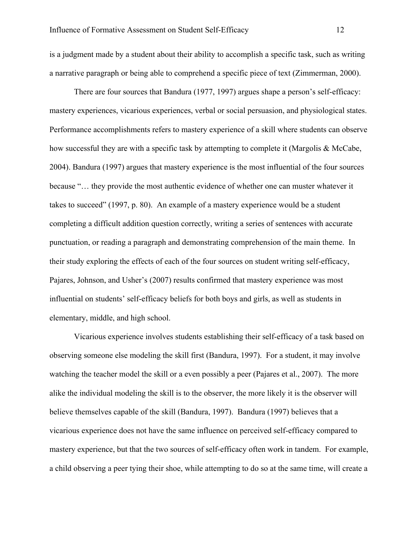is a judgment made by a student about their ability to accomplish a specific task, such as writing a narrative paragraph or being able to comprehend a specific piece of text (Zimmerman, 2000).

There are four sources that Bandura (1977, 1997) argues shape a person's self-efficacy: mastery experiences, vicarious experiences, verbal or social persuasion, and physiological states. Performance accomplishments refers to mastery experience of a skill where students can observe how successful they are with a specific task by attempting to complete it (Margolis & McCabe, 2004). Bandura (1997) argues that mastery experience is the most influential of the four sources because "… they provide the most authentic evidence of whether one can muster whatever it takes to succeed" (1997, p. 80). An example of a mastery experience would be a student completing a difficult addition question correctly, writing a series of sentences with accurate punctuation, or reading a paragraph and demonstrating comprehension of the main theme. In their study exploring the effects of each of the four sources on student writing self-efficacy, Pajares, Johnson, and Usher's (2007) results confirmed that mastery experience was most influential on students' self-efficacy beliefs for both boys and girls, as well as students in elementary, middle, and high school.

Vicarious experience involves students establishing their self-efficacy of a task based on observing someone else modeling the skill first (Bandura, 1997). For a student, it may involve watching the teacher model the skill or a even possibly a peer (Pajares et al., 2007). The more alike the individual modeling the skill is to the observer, the more likely it is the observer will believe themselves capable of the skill (Bandura, 1997). Bandura (1997) believes that a vicarious experience does not have the same influence on perceived self-efficacy compared to mastery experience, but that the two sources of self-efficacy often work in tandem. For example, a child observing a peer tying their shoe, while attempting to do so at the same time, will create a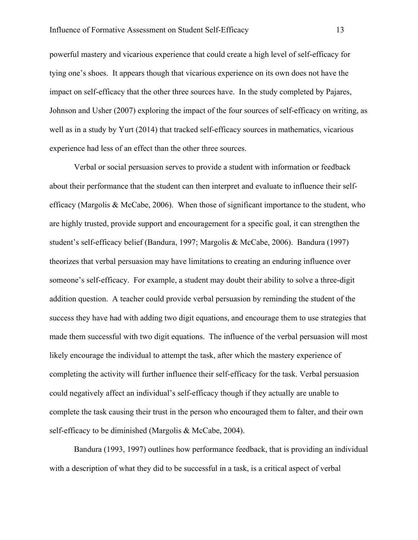powerful mastery and vicarious experience that could create a high level of self-efficacy for tying one's shoes. It appears though that vicarious experience on its own does not have the impact on self-efficacy that the other three sources have. In the study completed by Pajares, Johnson and Usher (2007) exploring the impact of the four sources of self-efficacy on writing, as well as in a study by Yurt (2014) that tracked self-efficacy sources in mathematics, vicarious experience had less of an effect than the other three sources.

Verbal or social persuasion serves to provide a student with information or feedback about their performance that the student can then interpret and evaluate to influence their selfefficacy (Margolis & McCabe, 2006). When those of significant importance to the student, who are highly trusted, provide support and encouragement for a specific goal, it can strengthen the student's self-efficacy belief (Bandura, 1997; Margolis & McCabe, 2006). Bandura (1997) theorizes that verbal persuasion may have limitations to creating an enduring influence over someone's self-efficacy. For example, a student may doubt their ability to solve a three-digit addition question. A teacher could provide verbal persuasion by reminding the student of the success they have had with adding two digit equations, and encourage them to use strategies that made them successful with two digit equations. The influence of the verbal persuasion will most likely encourage the individual to attempt the task, after which the mastery experience of completing the activity will further influence their self-efficacy for the task. Verbal persuasion could negatively affect an individual's self-efficacy though if they actually are unable to complete the task causing their trust in the person who encouraged them to falter, and their own self-efficacy to be diminished (Margolis & McCabe, 2004).

Bandura (1993, 1997) outlines how performance feedback, that is providing an individual with a description of what they did to be successful in a task, is a critical aspect of verbal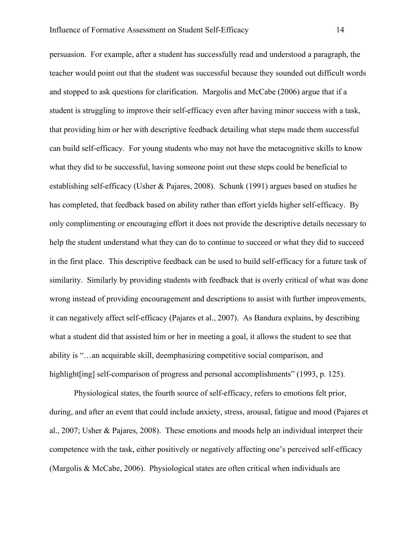persuasion. For example, after a student has successfully read and understood a paragraph, the teacher would point out that the student was successful because they sounded out difficult words and stopped to ask questions for clarification. Margolis and McCabe (2006) argue that if a student is struggling to improve their self-efficacy even after having minor success with a task, that providing him or her with descriptive feedback detailing what steps made them successful can build self-efficacy. For young students who may not have the metacognitive skills to know what they did to be successful, having someone point out these steps could be beneficial to establishing self-efficacy (Usher & Pajares, 2008). Schunk (1991) argues based on studies he has completed, that feedback based on ability rather than effort yields higher self-efficacy. By only complimenting or encouraging effort it does not provide the descriptive details necessary to help the student understand what they can do to continue to succeed or what they did to succeed in the first place. This descriptive feedback can be used to build self-efficacy for a future task of similarity. Similarly by providing students with feedback that is overly critical of what was done wrong instead of providing encouragement and descriptions to assist with further improvements, it can negatively affect self-efficacy (Pajares et al., 2007). As Bandura explains, by describing what a student did that assisted him or her in meeting a goal, it allows the student to see that ability is "…an acquirable skill, deemphasizing competitive social comparison, and highlight[ing] self-comparison of progress and personal accomplishments" (1993, p. 125).

Physiological states, the fourth source of self-efficacy, refers to emotions felt prior, during, and after an event that could include anxiety, stress, arousal, fatigue and mood (Pajares et al., 2007; Usher & Pajares, 2008). These emotions and moods help an individual interpret their competence with the task, either positively or negatively affecting one's perceived self-efficacy (Margolis & McCabe, 2006). Physiological states are often critical when individuals are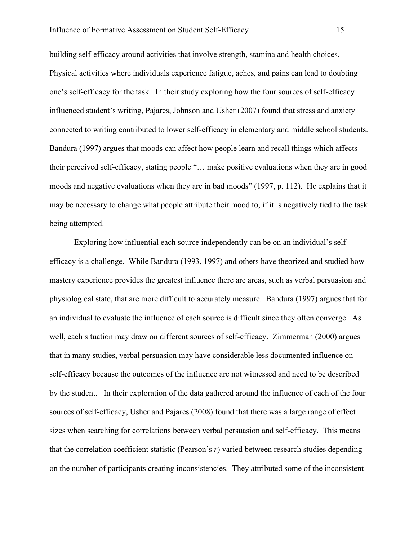building self-efficacy around activities that involve strength, stamina and health choices. Physical activities where individuals experience fatigue, aches, and pains can lead to doubting one's self-efficacy for the task. In their study exploring how the four sources of self-efficacy influenced student's writing, Pajares, Johnson and Usher (2007) found that stress and anxiety connected to writing contributed to lower self-efficacy in elementary and middle school students. Bandura (1997) argues that moods can affect how people learn and recall things which affects their perceived self-efficacy, stating people "… make positive evaluations when they are in good moods and negative evaluations when they are in bad moods" (1997, p. 112). He explains that it may be necessary to change what people attribute their mood to, if it is negatively tied to the task being attempted.

Exploring how influential each source independently can be on an individual's selfefficacy is a challenge. While Bandura (1993, 1997) and others have theorized and studied how mastery experience provides the greatest influence there are areas, such as verbal persuasion and physiological state, that are more difficult to accurately measure. Bandura (1997) argues that for an individual to evaluate the influence of each source is difficult since they often converge. As well, each situation may draw on different sources of self-efficacy. Zimmerman (2000) argues that in many studies, verbal persuasion may have considerable less documented influence on self-efficacy because the outcomes of the influence are not witnessed and need to be described by the student. In their exploration of the data gathered around the influence of each of the four sources of self-efficacy, Usher and Pajares (2008) found that there was a large range of effect sizes when searching for correlations between verbal persuasion and self-efficacy. This means that the correlation coefficient statistic (Pearson's *r*) varied between research studies depending on the number of participants creating inconsistencies. They attributed some of the inconsistent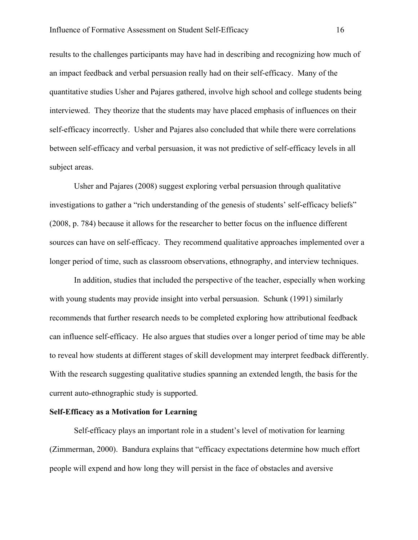results to the challenges participants may have had in describing and recognizing how much of an impact feedback and verbal persuasion really had on their self-efficacy. Many of the quantitative studies Usher and Pajares gathered, involve high school and college students being interviewed. They theorize that the students may have placed emphasis of influences on their self-efficacy incorrectly. Usher and Pajares also concluded that while there were correlations between self-efficacy and verbal persuasion, it was not predictive of self-efficacy levels in all subject areas.

Usher and Pajares (2008) suggest exploring verbal persuasion through qualitative investigations to gather a "rich understanding of the genesis of students' self-efficacy beliefs" (2008, p. 784) because it allows for the researcher to better focus on the influence different sources can have on self-efficacy. They recommend qualitative approaches implemented over a longer period of time, such as classroom observations, ethnography, and interview techniques.

In addition, studies that included the perspective of the teacher, especially when working with young students may provide insight into verbal persuasion. Schunk (1991) similarly recommends that further research needs to be completed exploring how attributional feedback can influence self-efficacy. He also argues that studies over a longer period of time may be able to reveal how students at different stages of skill development may interpret feedback differently. With the research suggesting qualitative studies spanning an extended length, the basis for the current auto-ethnographic study is supported.

#### **Self-Efficacy as a Motivation for Learning**

Self-efficacy plays an important role in a student's level of motivation for learning (Zimmerman, 2000). Bandura explains that "efficacy expectations determine how much effort people will expend and how long they will persist in the face of obstacles and aversive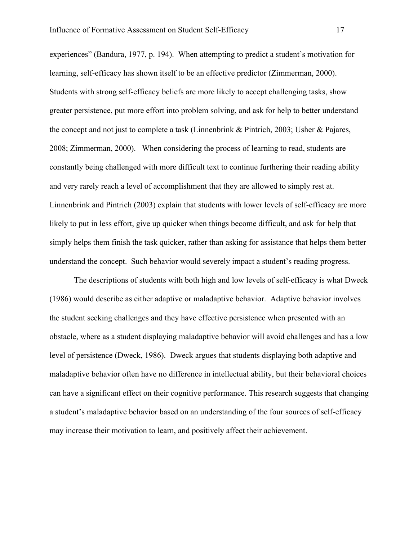experiences" (Bandura, 1977, p. 194). When attempting to predict a student's motivation for learning, self-efficacy has shown itself to be an effective predictor (Zimmerman, 2000). Students with strong self-efficacy beliefs are more likely to accept challenging tasks, show greater persistence, put more effort into problem solving, and ask for help to better understand the concept and not just to complete a task (Linnenbrink & Pintrich, 2003; Usher & Pajares, 2008; Zimmerman, 2000). When considering the process of learning to read, students are constantly being challenged with more difficult text to continue furthering their reading ability and very rarely reach a level of accomplishment that they are allowed to simply rest at. Linnenbrink and Pintrich (2003) explain that students with lower levels of self-efficacy are more likely to put in less effort, give up quicker when things become difficult, and ask for help that simply helps them finish the task quicker, rather than asking for assistance that helps them better understand the concept. Such behavior would severely impact a student's reading progress.

The descriptions of students with both high and low levels of self-efficacy is what Dweck (1986) would describe as either adaptive or maladaptive behavior. Adaptive behavior involves the student seeking challenges and they have effective persistence when presented with an obstacle, where as a student displaying maladaptive behavior will avoid challenges and has a low level of persistence (Dweck, 1986). Dweck argues that students displaying both adaptive and maladaptive behavior often have no difference in intellectual ability, but their behavioral choices can have a significant effect on their cognitive performance. This research suggests that changing a student's maladaptive behavior based on an understanding of the four sources of self-efficacy may increase their motivation to learn, and positively affect their achievement.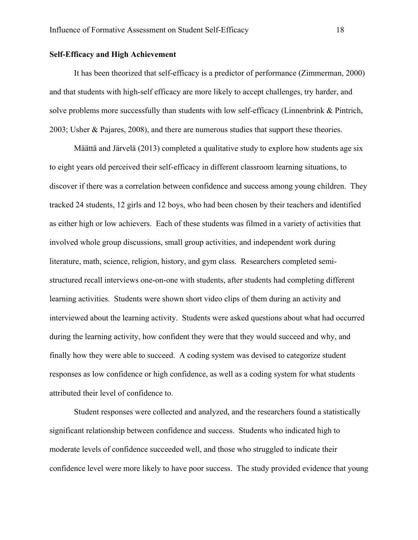#### **Self-Efficacy and High Achievement**

It has been theorized that self-efficacy is a predictor of performance (Zimmerman, 2000) and that students with high-self efficacy are more likely to accept challenges, try harder, and solve problems more successfully than students with low self-efficacy (Linnenbrink & Pintrich, 2003; Usher & Pajares, 2008), and there are numerous studies that support these theories.

Määttä and Järvelä (2013) completed a qualitative study to explore how students age six to eight years old perceived their self-efficacy in different classroom learning situations, to discover if there was a correlation between confidence and success among young children. They tracked 24 students, 12 girls and 12 boys, who had been chosen by their teachers and identified as either high or low achievers. Each of these students was filmed in a variety of activities that involved whole group discussions, small group activities, and independent work during literature, math, science, religion, history, and gym class. Researchers completed semistructured recall interviews one-on-one with students, after students had completing different learning activities. Students were shown short video clips of them during an activity and interviewed about the learning activity. Students were asked questions about what had occurred during the learning activity, how confident they were that they would succeed and why, and finally how they were able to succeed. A coding system was devised to categorize student responses as low confidence or high confidence, as well as a coding system for what students attributed their level of confidence to.

Student responses were collected and analyzed, and the researchers found a statistically significant relationship between confidence and success. Students who indicated high to moderate levels of confidence succeeded well, and those who struggled to indicate their confidence level were more likely to have poor success. The study provided evidence that young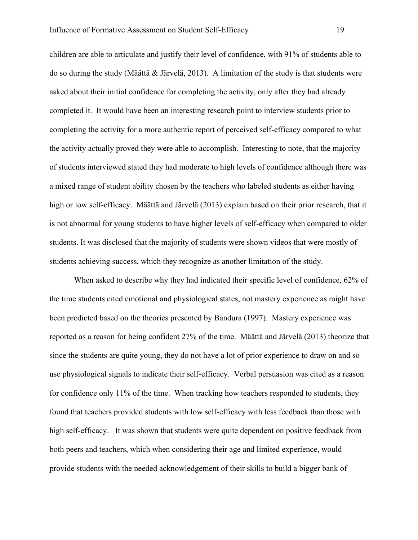children are able to articulate and justify their level of confidence, with 91% of students able to do so during the study (Määttä & Järvelä, 2013). A limitation of the study is that students were asked about their initial confidence for completing the activity, only after they had already completed it. It would have been an interesting research point to interview students prior to completing the activity for a more authentic report of perceived self-efficacy compared to what the activity actually proved they were able to accomplish. Interesting to note, that the majority of students interviewed stated they had moderate to high levels of confidence although there was a mixed range of student ability chosen by the teachers who labeled students as either having high or low self-efficacy. Määttä and Järvelä (2013) explain based on their prior research, that it is not abnormal for young students to have higher levels of self-efficacy when compared to older students. It was disclosed that the majority of students were shown videos that were mostly of students achieving success, which they recognize as another limitation of the study.

When asked to describe why they had indicated their specific level of confidence, 62% of the time students cited emotional and physiological states, not mastery experience as might have been predicted based on the theories presented by Bandura (1997). Mastery experience was reported as a reason for being confident 27% of the time. Määttä and Järvelä (2013) theorize that since the students are quite young, they do not have a lot of prior experience to draw on and so use physiological signals to indicate their self-efficacy. Verbal persuasion was cited as a reason for confidence only 11% of the time. When tracking how teachers responded to students, they found that teachers provided students with low self-efficacy with less feedback than those with high self-efficacy. It was shown that students were quite dependent on positive feedback from both peers and teachers, which when considering their age and limited experience, would provide students with the needed acknowledgement of their skills to build a bigger bank of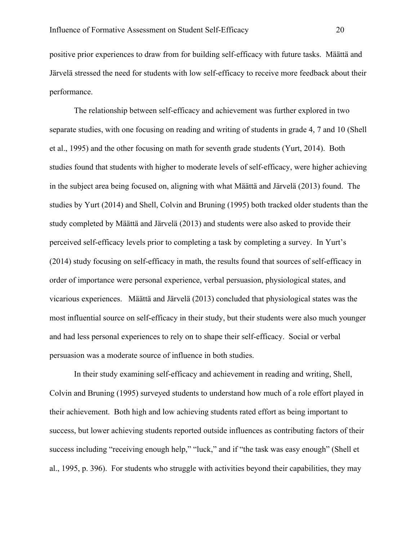positive prior experiences to draw from for building self-efficacy with future tasks. Määttä and Järvelä stressed the need for students with low self-efficacy to receive more feedback about their performance.

The relationship between self-efficacy and achievement was further explored in two separate studies, with one focusing on reading and writing of students in grade 4, 7 and 10 (Shell et al., 1995) and the other focusing on math for seventh grade students (Yurt, 2014). Both studies found that students with higher to moderate levels of self-efficacy, were higher achieving in the subject area being focused on, aligning with what Määttä and Järvelä (2013) found. The studies by Yurt (2014) and Shell, Colvin and Bruning (1995) both tracked older students than the study completed by Määttä and Järvelä (2013) and students were also asked to provide their perceived self-efficacy levels prior to completing a task by completing a survey. In Yurt's (2014) study focusing on self-efficacy in math, the results found that sources of self-efficacy in order of importance were personal experience, verbal persuasion, physiological states, and vicarious experiences. Määttä and Järvelä (2013) concluded that physiological states was the most influential source on self-efficacy in their study, but their students were also much younger and had less personal experiences to rely on to shape their self-efficacy. Social or verbal persuasion was a moderate source of influence in both studies.

In their study examining self-efficacy and achievement in reading and writing, Shell, Colvin and Bruning (1995) surveyed students to understand how much of a role effort played in their achievement. Both high and low achieving students rated effort as being important to success, but lower achieving students reported outside influences as contributing factors of their success including "receiving enough help," "luck," and if "the task was easy enough" (Shell et al., 1995, p. 396). For students who struggle with activities beyond their capabilities, they may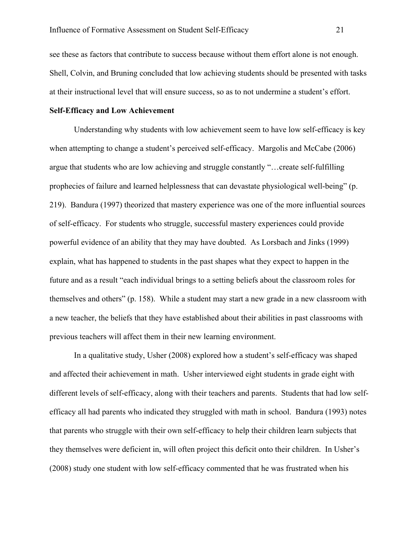see these as factors that contribute to success because without them effort alone is not enough. Shell, Colvin, and Bruning concluded that low achieving students should be presented with tasks at their instructional level that will ensure success, so as to not undermine a student's effort.

## **Self-Efficacy and Low Achievement**

Understanding why students with low achievement seem to have low self-efficacy is key when attempting to change a student's perceived self-efficacy. Margolis and McCabe (2006) argue that students who are low achieving and struggle constantly "…create self-fulfilling prophecies of failure and learned helplessness that can devastate physiological well-being" (p. 219). Bandura (1997) theorized that mastery experience was one of the more influential sources of self-efficacy. For students who struggle, successful mastery experiences could provide powerful evidence of an ability that they may have doubted. As Lorsbach and Jinks (1999) explain, what has happened to students in the past shapes what they expect to happen in the future and as a result "each individual brings to a setting beliefs about the classroom roles for themselves and others" (p. 158). While a student may start a new grade in a new classroom with a new teacher, the beliefs that they have established about their abilities in past classrooms with previous teachers will affect them in their new learning environment.

In a qualitative study, Usher (2008) explored how a student's self-efficacy was shaped and affected their achievement in math. Usher interviewed eight students in grade eight with different levels of self-efficacy, along with their teachers and parents. Students that had low selfefficacy all had parents who indicated they struggled with math in school. Bandura (1993) notes that parents who struggle with their own self-efficacy to help their children learn subjects that they themselves were deficient in, will often project this deficit onto their children. In Usher's (2008) study one student with low self-efficacy commented that he was frustrated when his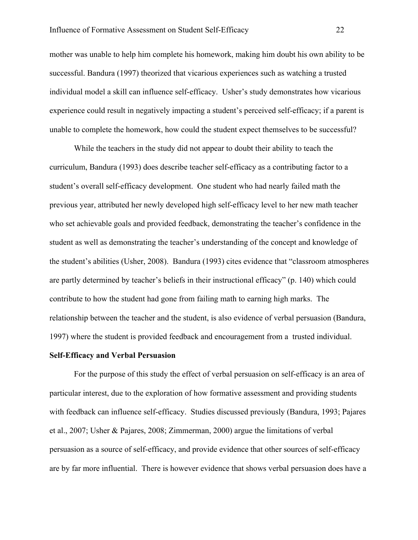mother was unable to help him complete his homework, making him doubt his own ability to be successful. Bandura (1997) theorized that vicarious experiences such as watching a trusted individual model a skill can influence self-efficacy. Usher's study demonstrates how vicarious experience could result in negatively impacting a student's perceived self-efficacy; if a parent is unable to complete the homework, how could the student expect themselves to be successful?

While the teachers in the study did not appear to doubt their ability to teach the curriculum, Bandura (1993) does describe teacher self-efficacy as a contributing factor to a student's overall self-efficacy development. One student who had nearly failed math the previous year, attributed her newly developed high self-efficacy level to her new math teacher who set achievable goals and provided feedback, demonstrating the teacher's confidence in the student as well as demonstrating the teacher's understanding of the concept and knowledge of the student's abilities (Usher, 2008). Bandura (1993) cites evidence that "classroom atmospheres are partly determined by teacher's beliefs in their instructional efficacy" (p. 140) which could contribute to how the student had gone from failing math to earning high marks. The relationship between the teacher and the student, is also evidence of verbal persuasion (Bandura, 1997) where the student is provided feedback and encouragement from a trusted individual.

#### **Self-Efficacy and Verbal Persuasion**

For the purpose of this study the effect of verbal persuasion on self-efficacy is an area of particular interest, due to the exploration of how formative assessment and providing students with feedback can influence self-efficacy. Studies discussed previously (Bandura, 1993; Pajares et al., 2007; Usher & Pajares, 2008; Zimmerman, 2000) argue the limitations of verbal persuasion as a source of self-efficacy, and provide evidence that other sources of self-efficacy are by far more influential. There is however evidence that shows verbal persuasion does have a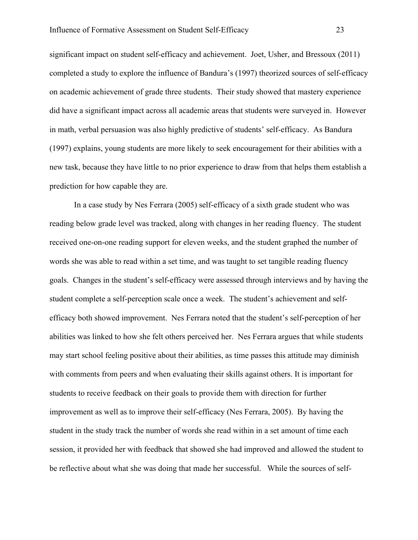significant impact on student self-efficacy and achievement. Joet, Usher, and Bressoux (2011) completed a study to explore the influence of Bandura's (1997) theorized sources of self-efficacy on academic achievement of grade three students. Their study showed that mastery experience did have a significant impact across all academic areas that students were surveyed in. However in math, verbal persuasion was also highly predictive of students' self-efficacy. As Bandura (1997) explains, young students are more likely to seek encouragement for their abilities with a new task, because they have little to no prior experience to draw from that helps them establish a prediction for how capable they are.

In a case study by Nes Ferrara (2005) self-efficacy of a sixth grade student who was reading below grade level was tracked, along with changes in her reading fluency. The student received one-on-one reading support for eleven weeks, and the student graphed the number of words she was able to read within a set time, and was taught to set tangible reading fluency goals. Changes in the student's self-efficacy were assessed through interviews and by having the student complete a self-perception scale once a week. The student's achievement and selfefficacy both showed improvement. Nes Ferrara noted that the student's self-perception of her abilities was linked to how she felt others perceived her. Nes Ferrara argues that while students may start school feeling positive about their abilities, as time passes this attitude may diminish with comments from peers and when evaluating their skills against others. It is important for students to receive feedback on their goals to provide them with direction for further improvement as well as to improve their self-efficacy (Nes Ferrara, 2005). By having the student in the study track the number of words she read within in a set amount of time each session, it provided her with feedback that showed she had improved and allowed the student to be reflective about what she was doing that made her successful. While the sources of self-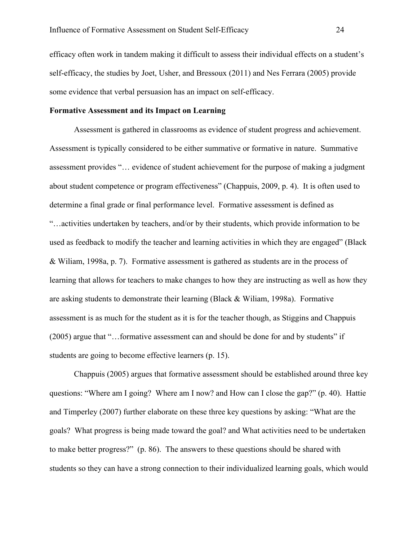efficacy often work in tandem making it difficult to assess their individual effects on a student's self-efficacy, the studies by Joet, Usher, and Bressoux (2011) and Nes Ferrara (2005) provide some evidence that verbal persuasion has an impact on self-efficacy.

## **Formative Assessment and its Impact on Learning**

Assessment is gathered in classrooms as evidence of student progress and achievement. Assessment is typically considered to be either summative or formative in nature. Summative assessment provides "… evidence of student achievement for the purpose of making a judgment about student competence or program effectiveness" (Chappuis, 2009, p. 4). It is often used to determine a final grade or final performance level. Formative assessment is defined as "…activities undertaken by teachers, and/or by their students, which provide information to be used as feedback to modify the teacher and learning activities in which they are engaged" (Black & Wiliam, 1998a, p. 7). Formative assessment is gathered as students are in the process of learning that allows for teachers to make changes to how they are instructing as well as how they are asking students to demonstrate their learning (Black & Wiliam, 1998a). Formative assessment is as much for the student as it is for the teacher though, as Stiggins and Chappuis (2005) argue that "…formative assessment can and should be done for and by students" if students are going to become effective learners (p. 15).

Chappuis (2005) argues that formative assessment should be established around three key questions: "Where am I going? Where am I now? and How can I close the gap?" (p. 40). Hattie and Timperley (2007) further elaborate on these three key questions by asking: "What are the goals? What progress is being made toward the goal? and What activities need to be undertaken to make better progress?" (p. 86). The answers to these questions should be shared with students so they can have a strong connection to their individualized learning goals, which would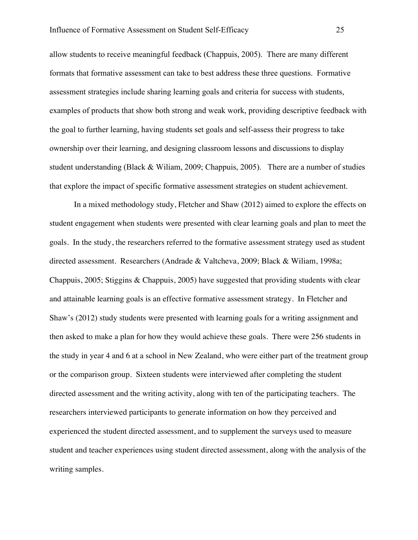allow students to receive meaningful feedback (Chappuis, 2005). There are many different formats that formative assessment can take to best address these three questions. Formative assessment strategies include sharing learning goals and criteria for success with students, examples of products that show both strong and weak work, providing descriptive feedback with the goal to further learning, having students set goals and self-assess their progress to take ownership over their learning, and designing classroom lessons and discussions to display student understanding (Black & Wiliam, 2009; Chappuis, 2005). There are a number of studies that explore the impact of specific formative assessment strategies on student achievement.

In a mixed methodology study, Fletcher and Shaw (2012) aimed to explore the effects on student engagement when students were presented with clear learning goals and plan to meet the goals. In the study, the researchers referred to the formative assessment strategy used as student directed assessment. Researchers (Andrade & Valtcheva, 2009; Black & Wiliam, 1998a; Chappuis, 2005; Stiggins & Chappuis, 2005) have suggested that providing students with clear and attainable learning goals is an effective formative assessment strategy. In Fletcher and Shaw's (2012) study students were presented with learning goals for a writing assignment and then asked to make a plan for how they would achieve these goals. There were 256 students in the study in year 4 and 6 at a school in New Zealand, who were either part of the treatment group or the comparison group. Sixteen students were interviewed after completing the student directed assessment and the writing activity, along with ten of the participating teachers. The researchers interviewed participants to generate information on how they perceived and experienced the student directed assessment, and to supplement the surveys used to measure student and teacher experiences using student directed assessment, along with the analysis of the writing samples.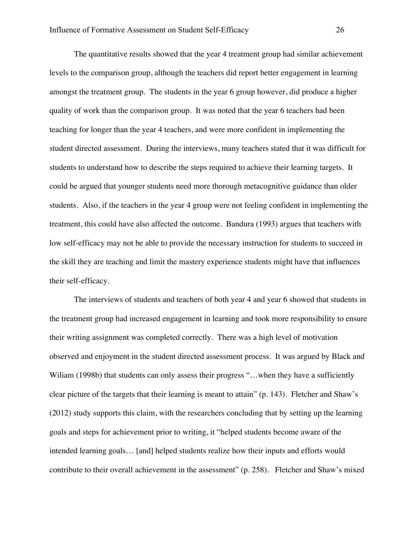The quantitative results showed that the year 4 treatment group had similar achievement levels to the comparison group, although the teachers did report better engagement in learning amongst the treatment group. The students in the year 6 group however, did produce a higher quality of work than the comparison group. It was noted that the year 6 teachers had been teaching for longer than the year 4 teachers, and were more confident in implementing the student directed assessment. During the interviews, many teachers stated that it was difficult for students to understand how to describe the steps required to achieve their learning targets. It could be argued that younger students need more thorough metacognitive guidance than older students. Also, if the teachers in the year 4 group were not feeling confident in implementing the treatment, this could have also affected the outcome. Bandura (1993) argues that teachers with low self-efficacy may not be able to provide the necessary instruction for students to succeed in the skill they are teaching and limit the mastery experience students might have that influences their self-efficacy.

The interviews of students and teachers of both year 4 and year 6 showed that students in the treatment group had increased engagement in learning and took more responsibility to ensure their writing assignment was completed correctly. There was a high level of motivation observed and enjoyment in the student directed assessment process. It was argued by Black and Wiliam (1998b) that students can only assess their progress "...when they have a sufficiently clear picture of the targets that their learning is meant to attain" (p. 143). Fletcher and Shaw's (2012) study supports this claim, with the researchers concluding that by setting up the learning goals and steps for achievement prior to writing, it "helped students become aware of the intended learning goals… [and] helped students realize how their inputs and efforts would contribute to their overall achievement in the assessment" (p. 258). Fletcher and Shaw's mixed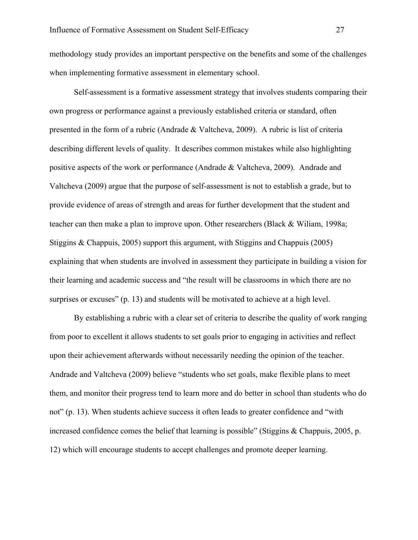methodology study provides an important perspective on the benefits and some of the challenges when implementing formative assessment in elementary school.

Self-assessment is a formative assessment strategy that involves students comparing their own progress or performance against a previously established criteria or standard, often presented in the form of a rubric (Andrade & Valtcheva, 2009). A rubric is list of criteria describing different levels of quality. It describes common mistakes while also highlighting positive aspects of the work or performance (Andrade & Valtcheva, 2009). Andrade and Valtcheva (2009) argue that the purpose of self-assessment is not to establish a grade, but to provide evidence of areas of strength and areas for further development that the student and teacher can then make a plan to improve upon. Other researchers (Black & Wiliam, 1998a; Stiggins & Chappuis, 2005) support this argument, with Stiggins and Chappuis (2005) explaining that when students are involved in assessment they participate in building a vision for their learning and academic success and "the result will be classrooms in which there are no surprises or excuses" (p. 13) and students will be motivated to achieve at a high level.

By establishing a rubric with a clear set of criteria to describe the quality of work ranging from poor to excellent it allows students to set goals prior to engaging in activities and reflect upon their achievement afterwards without necessarily needing the opinion of the teacher. Andrade and Valtcheva (2009) believe "students who set goals, make flexible plans to meet them, and monitor their progress tend to learn more and do better in school than students who do not" (p. 13). When students achieve success it often leads to greater confidence and "with increased confidence comes the belief that learning is possible" (Stiggins & Chappuis, 2005, p. 12) which will encourage students to accept challenges and promote deeper learning.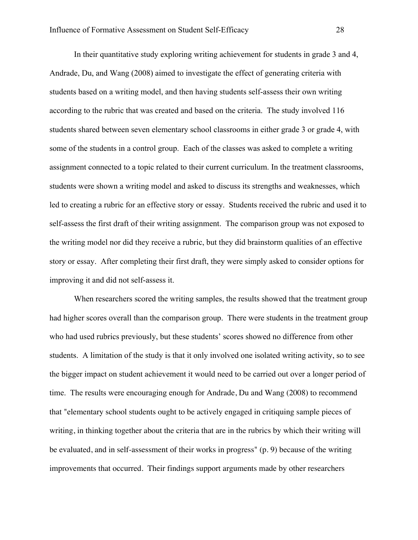In their quantitative study exploring writing achievement for students in grade 3 and 4, Andrade, Du, and Wang (2008) aimed to investigate the effect of generating criteria with students based on a writing model, and then having students self-assess their own writing according to the rubric that was created and based on the criteria. The study involved 116 students shared between seven elementary school classrooms in either grade 3 or grade 4, with some of the students in a control group. Each of the classes was asked to complete a writing assignment connected to a topic related to their current curriculum. In the treatment classrooms, students were shown a writing model and asked to discuss its strengths and weaknesses, which led to creating a rubric for an effective story or essay. Students received the rubric and used it to self-assess the first draft of their writing assignment. The comparison group was not exposed to the writing model nor did they receive a rubric, but they did brainstorm qualities of an effective story or essay. After completing their first draft, they were simply asked to consider options for improving it and did not self-assess it.

When researchers scored the writing samples, the results showed that the treatment group had higher scores overall than the comparison group. There were students in the treatment group who had used rubrics previously, but these students' scores showed no difference from other students. A limitation of the study is that it only involved one isolated writing activity, so to see the bigger impact on student achievement it would need to be carried out over a longer period of time. The results were encouraging enough for Andrade, Du and Wang (2008) to recommend that "elementary school students ought to be actively engaged in critiquing sample pieces of writing, in thinking together about the criteria that are in the rubrics by which their writing will be evaluated, and in self-assessment of their works in progress" (p. 9) because of the writing improvements that occurred. Their findings support arguments made by other researchers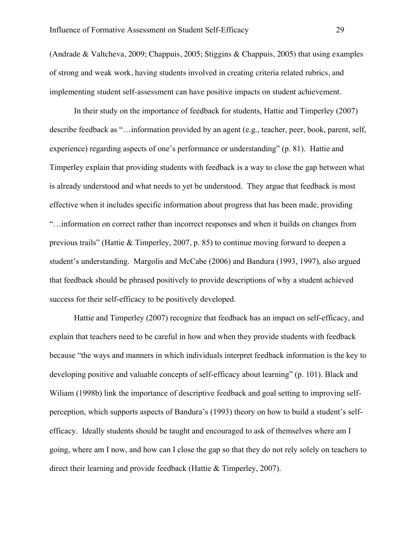(Andrade & Valtcheva, 2009; Chappuis, 2005; Stiggins & Chappuis, 2005) that using examples of strong and weak work, having students involved in creating criteria related rubrics, and implementing student self-assessment can have positive impacts on student achievement.

In their study on the importance of feedback for students, Hattie and Timperley (2007) describe feedback as "…information provided by an agent (e.g., teacher, peer, book, parent, self, experience) regarding aspects of one's performance or understanding" (p. 81). Hattie and Timperley explain that providing students with feedback is a way to close the gap between what is already understood and what needs to yet be understood. They argue that feedback is most effective when it includes specific information about progress that has been made, providing "…information on correct rather than incorrect responses and when it builds on changes from previous trails" (Hattie & Timperley, 2007, p. 85) to continue moving forward to deepen a student's understanding. Margolis and McCabe (2006) and Bandura (1993, 1997), also argued that feedback should be phrased positively to provide descriptions of why a student achieved success for their self-efficacy to be positively developed.

Hattie and Timperley (2007) recognize that feedback has an impact on self-efficacy, and explain that teachers need to be careful in how and when they provide students with feedback because "the ways and manners in which individuals interpret feedback information is the key to developing positive and valuable concepts of self-efficacy about learning" (p. 101). Black and Wiliam (1998b) link the importance of descriptive feedback and goal setting to improving selfperception, which supports aspects of Bandura's (1993) theory on how to build a student's selfefficacy. Ideally students should be taught and encouraged to ask of themselves where am I going, where am I now, and how can I close the gap so that they do not rely solely on teachers to direct their learning and provide feedback (Hattie & Timperley, 2007).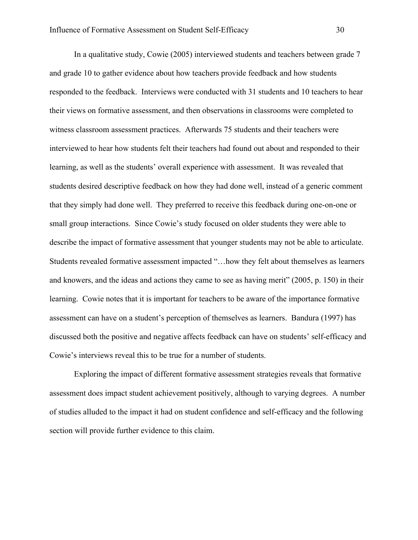In a qualitative study, Cowie (2005) interviewed students and teachers between grade 7 and grade 10 to gather evidence about how teachers provide feedback and how students responded to the feedback. Interviews were conducted with 31 students and 10 teachers to hear their views on formative assessment, and then observations in classrooms were completed to witness classroom assessment practices. Afterwards 75 students and their teachers were interviewed to hear how students felt their teachers had found out about and responded to their learning, as well as the students' overall experience with assessment. It was revealed that students desired descriptive feedback on how they had done well, instead of a generic comment that they simply had done well. They preferred to receive this feedback during one-on-one or small group interactions. Since Cowie's study focused on older students they were able to describe the impact of formative assessment that younger students may not be able to articulate. Students revealed formative assessment impacted "…how they felt about themselves as learners and knowers, and the ideas and actions they came to see as having merit" (2005, p. 150) in their learning. Cowie notes that it is important for teachers to be aware of the importance formative assessment can have on a student's perception of themselves as learners. Bandura (1997) has discussed both the positive and negative affects feedback can have on students' self-efficacy and Cowie's interviews reveal this to be true for a number of students.

Exploring the impact of different formative assessment strategies reveals that formative assessment does impact student achievement positively, although to varying degrees. A number of studies alluded to the impact it had on student confidence and self-efficacy and the following section will provide further evidence to this claim.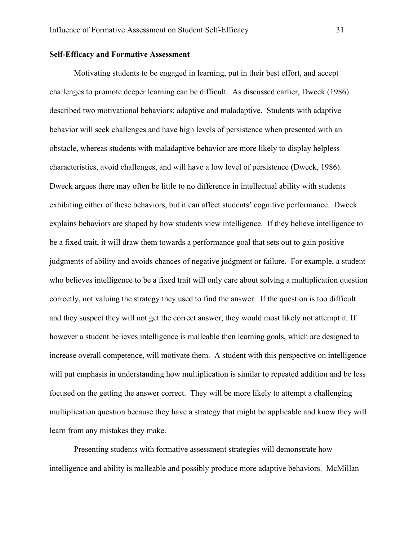## **Self-Efficacy and Formative Assessment**

Motivating students to be engaged in learning, put in their best effort, and accept challenges to promote deeper learning can be difficult. As discussed earlier, Dweck (1986) described two motivational behaviors: adaptive and maladaptive. Students with adaptive behavior will seek challenges and have high levels of persistence when presented with an obstacle, whereas students with maladaptive behavior are more likely to display helpless characteristics, avoid challenges, and will have a low level of persistence (Dweck, 1986). Dweck argues there may often be little to no difference in intellectual ability with students exhibiting either of these behaviors, but it can affect students' cognitive performance. Dweck explains behaviors are shaped by how students view intelligence. If they believe intelligence to be a fixed trait, it will draw them towards a performance goal that sets out to gain positive judgments of ability and avoids chances of negative judgment or failure. For example, a student who believes intelligence to be a fixed trait will only care about solving a multiplication question correctly, not valuing the strategy they used to find the answer. If the question is too difficult and they suspect they will not get the correct answer, they would most likely not attempt it. If however a student believes intelligence is malleable then learning goals, which are designed to increase overall competence, will motivate them. A student with this perspective on intelligence will put emphasis in understanding how multiplication is similar to repeated addition and be less focused on the getting the answer correct. They will be more likely to attempt a challenging multiplication question because they have a strategy that might be applicable and know they will learn from any mistakes they make.

Presenting students with formative assessment strategies will demonstrate how intelligence and ability is malleable and possibly produce more adaptive behaviors. McMillan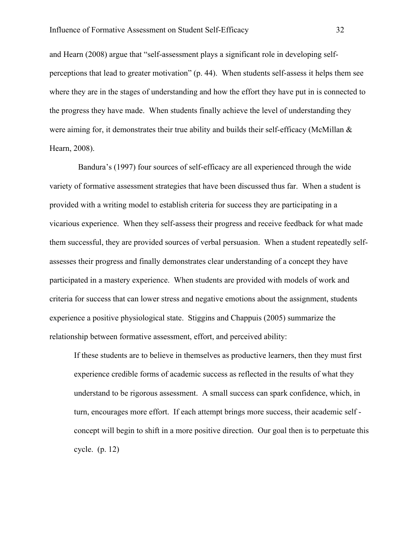and Hearn (2008) argue that "self-assessment plays a significant role in developing selfperceptions that lead to greater motivation" (p. 44). When students self-assess it helps them see where they are in the stages of understanding and how the effort they have put in is connected to the progress they have made. When students finally achieve the level of understanding they were aiming for, it demonstrates their true ability and builds their self-efficacy (McMillan  $\&$ Hearn, 2008).

Bandura's (1997) four sources of self-efficacy are all experienced through the wide variety of formative assessment strategies that have been discussed thus far. When a student is provided with a writing model to establish criteria for success they are participating in a vicarious experience. When they self-assess their progress and receive feedback for what made them successful, they are provided sources of verbal persuasion. When a student repeatedly selfassesses their progress and finally demonstrates clear understanding of a concept they have participated in a mastery experience. When students are provided with models of work and criteria for success that can lower stress and negative emotions about the assignment, students experience a positive physiological state. Stiggins and Chappuis (2005) summarize the relationship between formative assessment, effort, and perceived ability:

If these students are to believe in themselves as productive learners, then they must first experience credible forms of academic success as reflected in the results of what they understand to be rigorous assessment. A small success can spark confidence, which, in turn, encourages more effort. If each attempt brings more success, their academic self concept will begin to shift in a more positive direction. Our goal then is to perpetuate this cycle. (p. 12)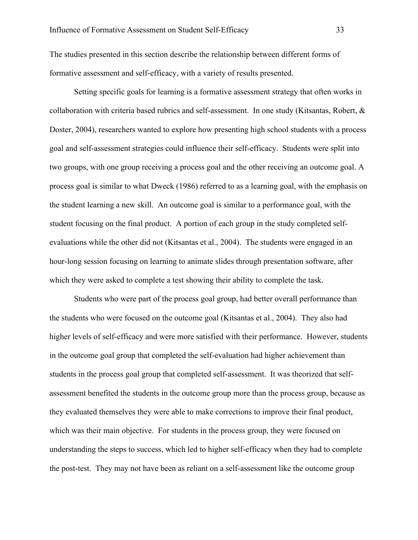The studies presented in this section describe the relationship between different forms of formative assessment and self-efficacy, with a variety of results presented.

Setting specific goals for learning is a formative assessment strategy that often works in collaboration with criteria based rubrics and self-assessment. In one study (Kitsantas, Robert, & Doster, 2004), researchers wanted to explore how presenting high school students with a process goal and self-assessment strategies could influence their self-efficacy. Students were split into two groups, with one group receiving a process goal and the other receiving an outcome goal. A process goal is similar to what Dweck (1986) referred to as a learning goal, with the emphasis on the student learning a new skill. An outcome goal is similar to a performance goal, with the student focusing on the final product. A portion of each group in the study completed selfevaluations while the other did not (Kitsantas et al., 2004). The students were engaged in an hour-long session focusing on learning to animate slides through presentation software, after which they were asked to complete a test showing their ability to complete the task.

Students who were part of the process goal group, had better overall performance than the students who were focused on the outcome goal (Kitsantas et al., 2004). They also had higher levels of self-efficacy and were more satisfied with their performance. However, students in the outcome goal group that completed the self-evaluation had higher achievement than students in the process goal group that completed self-assessment. It was theorized that selfassessment benefited the students in the outcome group more than the process group, because as they evaluated themselves they were able to make corrections to improve their final product, which was their main objective. For students in the process group, they were focused on understanding the steps to success, which led to higher self-efficacy when they had to complete the post-test. They may not have been as reliant on a self-assessment like the outcome group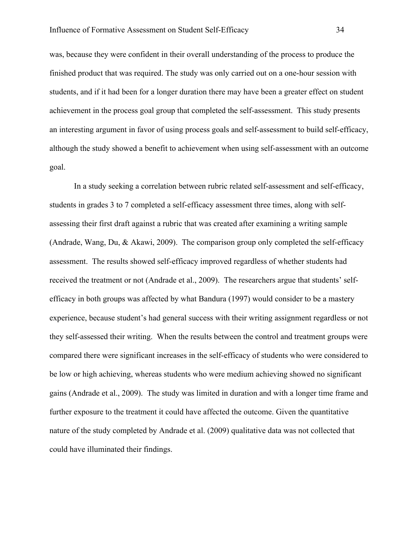was, because they were confident in their overall understanding of the process to produce the finished product that was required. The study was only carried out on a one-hour session with students, and if it had been for a longer duration there may have been a greater effect on student achievement in the process goal group that completed the self-assessment. This study presents an interesting argument in favor of using process goals and self-assessment to build self-efficacy, although the study showed a benefit to achievement when using self-assessment with an outcome goal.

In a study seeking a correlation between rubric related self-assessment and self-efficacy, students in grades 3 to 7 completed a self-efficacy assessment three times, along with selfassessing their first draft against a rubric that was created after examining a writing sample (Andrade, Wang, Du, & Akawi, 2009). The comparison group only completed the self-efficacy assessment. The results showed self-efficacy improved regardless of whether students had received the treatment or not (Andrade et al., 2009). The researchers argue that students' selfefficacy in both groups was affected by what Bandura (1997) would consider to be a mastery experience, because student's had general success with their writing assignment regardless or not they self-assessed their writing. When the results between the control and treatment groups were compared there were significant increases in the self-efficacy of students who were considered to be low or high achieving, whereas students who were medium achieving showed no significant gains (Andrade et al., 2009). The study was limited in duration and with a longer time frame and further exposure to the treatment it could have affected the outcome. Given the quantitative nature of the study completed by Andrade et al. (2009) qualitative data was not collected that could have illuminated their findings.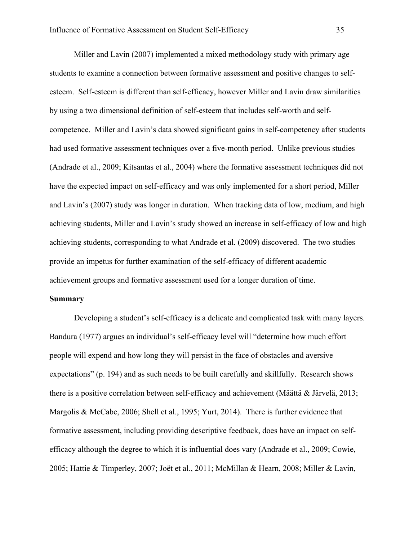Miller and Lavin (2007) implemented a mixed methodology study with primary age students to examine a connection between formative assessment and positive changes to selfesteem. Self-esteem is different than self-efficacy, however Miller and Lavin draw similarities by using a two dimensional definition of self-esteem that includes self-worth and selfcompetence. Miller and Lavin's data showed significant gains in self-competency after students had used formative assessment techniques over a five-month period. Unlike previous studies (Andrade et al., 2009; Kitsantas et al., 2004) where the formative assessment techniques did not have the expected impact on self-efficacy and was only implemented for a short period, Miller and Lavin's (2007) study was longer in duration. When tracking data of low, medium, and high achieving students, Miller and Lavin's study showed an increase in self-efficacy of low and high achieving students, corresponding to what Andrade et al. (2009) discovered. The two studies provide an impetus for further examination of the self-efficacy of different academic achievement groups and formative assessment used for a longer duration of time.

## **Summary**

Developing a student's self-efficacy is a delicate and complicated task with many layers. Bandura (1977) argues an individual's self-efficacy level will "determine how much effort people will expend and how long they will persist in the face of obstacles and aversive expectations" (p. 194) and as such needs to be built carefully and skillfully. Research shows there is a positive correlation between self-efficacy and achievement (Määttä & Järvelä, 2013; Margolis & McCabe, 2006; Shell et al., 1995; Yurt, 2014). There is further evidence that formative assessment, including providing descriptive feedback, does have an impact on selfefficacy although the degree to which it is influential does vary (Andrade et al., 2009; Cowie, 2005; Hattie & Timperley, 2007; Joët et al., 2011; McMillan & Hearn, 2008; Miller & Lavin,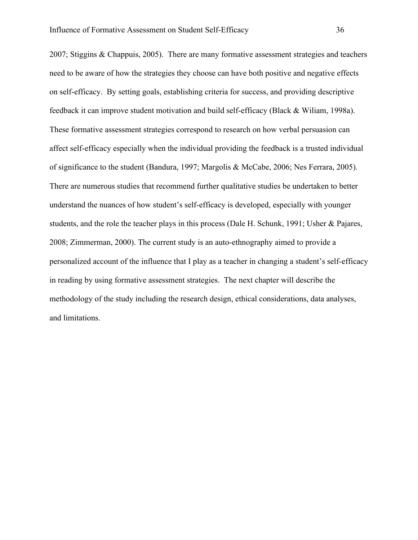2007; Stiggins & Chappuis, 2005). There are many formative assessment strategies and teachers need to be aware of how the strategies they choose can have both positive and negative effects on self-efficacy. By setting goals, establishing criteria for success, and providing descriptive feedback it can improve student motivation and build self-efficacy (Black & Wiliam, 1998a). These formative assessment strategies correspond to research on how verbal persuasion can affect self-efficacy especially when the individual providing the feedback is a trusted individual of significance to the student (Bandura, 1997; Margolis & McCabe, 2006; Nes Ferrara, 2005). There are numerous studies that recommend further qualitative studies be undertaken to better understand the nuances of how student's self-efficacy is developed, especially with younger students, and the role the teacher plays in this process (Dale H. Schunk, 1991; Usher & Pajares, 2008; Zimmerman, 2000). The current study is an auto-ethnography aimed to provide a personalized account of the influence that I play as a teacher in changing a student's self-efficacy in reading by using formative assessment strategies. The next chapter will describe the methodology of the study including the research design, ethical considerations, data analyses, and limitations.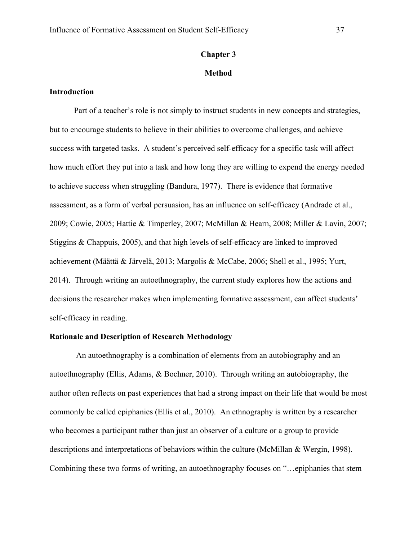## **Chapter 3**

#### **Method**

# **Introduction**

Part of a teacher's role is not simply to instruct students in new concepts and strategies, but to encourage students to believe in their abilities to overcome challenges, and achieve success with targeted tasks. A student's perceived self-efficacy for a specific task will affect how much effort they put into a task and how long they are willing to expend the energy needed to achieve success when struggling (Bandura, 1977). There is evidence that formative assessment, as a form of verbal persuasion, has an influence on self-efficacy (Andrade et al., 2009; Cowie, 2005; Hattie & Timperley, 2007; McMillan & Hearn, 2008; Miller & Lavin, 2007; Stiggins & Chappuis, 2005), and that high levels of self-efficacy are linked to improved achievement (Määttä & Järvelä, 2013; Margolis & McCabe, 2006; Shell et al., 1995; Yurt, 2014). Through writing an autoethnography, the current study explores how the actions and decisions the researcher makes when implementing formative assessment, can affect students' self-efficacy in reading.

# **Rationale and Description of Research Methodology**

An autoethnography is a combination of elements from an autobiography and an autoethnography (Ellis, Adams, & Bochner, 2010). Through writing an autobiography, the author often reflects on past experiences that had a strong impact on their life that would be most commonly be called epiphanies (Ellis et al., 2010). An ethnography is written by a researcher who becomes a participant rather than just an observer of a culture or a group to provide descriptions and interpretations of behaviors within the culture (McMillan & Wergin, 1998). Combining these two forms of writing, an autoethnography focuses on "…epiphanies that stem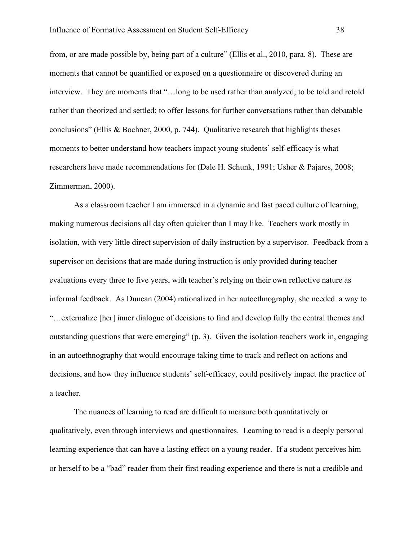from, or are made possible by, being part of a culture" (Ellis et al., 2010, para. 8). These are moments that cannot be quantified or exposed on a questionnaire or discovered during an interview. They are moments that "…long to be used rather than analyzed; to be told and retold rather than theorized and settled; to offer lessons for further conversations rather than debatable conclusions" (Ellis & Bochner, 2000, p. 744). Qualitative research that highlights theses moments to better understand how teachers impact young students' self-efficacy is what researchers have made recommendations for (Dale H. Schunk, 1991; Usher & Pajares, 2008; Zimmerman, 2000).

As a classroom teacher I am immersed in a dynamic and fast paced culture of learning, making numerous decisions all day often quicker than I may like. Teachers work mostly in isolation, with very little direct supervision of daily instruction by a supervisor. Feedback from a supervisor on decisions that are made during instruction is only provided during teacher evaluations every three to five years, with teacher's relying on their own reflective nature as informal feedback. As Duncan (2004) rationalized in her autoethnography, she needed a way to "…externalize [her] inner dialogue of decisions to find and develop fully the central themes and outstanding questions that were emerging" (p. 3). Given the isolation teachers work in, engaging in an autoethnography that would encourage taking time to track and reflect on actions and decisions, and how they influence students' self-efficacy, could positively impact the practice of a teacher.

The nuances of learning to read are difficult to measure both quantitatively or qualitatively, even through interviews and questionnaires. Learning to read is a deeply personal learning experience that can have a lasting effect on a young reader. If a student perceives him or herself to be a "bad" reader from their first reading experience and there is not a credible and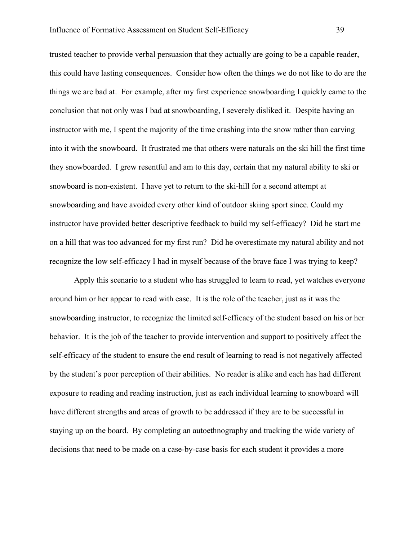trusted teacher to provide verbal persuasion that they actually are going to be a capable reader, this could have lasting consequences. Consider how often the things we do not like to do are the things we are bad at. For example, after my first experience snowboarding I quickly came to the conclusion that not only was I bad at snowboarding, I severely disliked it. Despite having an instructor with me, I spent the majority of the time crashing into the snow rather than carving into it with the snowboard. It frustrated me that others were naturals on the ski hill the first time they snowboarded. I grew resentful and am to this day, certain that my natural ability to ski or snowboard is non-existent. I have yet to return to the ski-hill for a second attempt at snowboarding and have avoided every other kind of outdoor skiing sport since. Could my instructor have provided better descriptive feedback to build my self-efficacy? Did he start me on a hill that was too advanced for my first run? Did he overestimate my natural ability and not recognize the low self-efficacy I had in myself because of the brave face I was trying to keep?

Apply this scenario to a student who has struggled to learn to read, yet watches everyone around him or her appear to read with ease. It is the role of the teacher, just as it was the snowboarding instructor, to recognize the limited self-efficacy of the student based on his or her behavior. It is the job of the teacher to provide intervention and support to positively affect the self-efficacy of the student to ensure the end result of learning to read is not negatively affected by the student's poor perception of their abilities. No reader is alike and each has had different exposure to reading and reading instruction, just as each individual learning to snowboard will have different strengths and areas of growth to be addressed if they are to be successful in staying up on the board. By completing an autoethnography and tracking the wide variety of decisions that need to be made on a case-by-case basis for each student it provides a more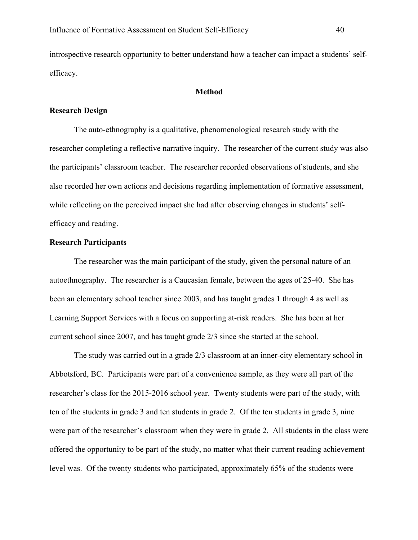introspective research opportunity to better understand how a teacher can impact a students' selfefficacy.

#### **Method**

### **Research Design**

The auto-ethnography is a qualitative, phenomenological research study with the researcher completing a reflective narrative inquiry. The researcher of the current study was also the participants' classroom teacher. The researcher recorded observations of students, and she also recorded her own actions and decisions regarding implementation of formative assessment, while reflecting on the perceived impact she had after observing changes in students' selfefficacy and reading.

## **Research Participants**

The researcher was the main participant of the study, given the personal nature of an autoethnography. The researcher is a Caucasian female, between the ages of 25-40. She has been an elementary school teacher since 2003, and has taught grades 1 through 4 as well as Learning Support Services with a focus on supporting at-risk readers. She has been at her current school since 2007, and has taught grade 2/3 since she started at the school.

The study was carried out in a grade 2/3 classroom at an inner-city elementary school in Abbotsford, BC. Participants were part of a convenience sample, as they were all part of the researcher's class for the 2015-2016 school year. Twenty students were part of the study, with ten of the students in grade 3 and ten students in grade 2. Of the ten students in grade 3, nine were part of the researcher's classroom when they were in grade 2. All students in the class were offered the opportunity to be part of the study, no matter what their current reading achievement level was. Of the twenty students who participated, approximately 65% of the students were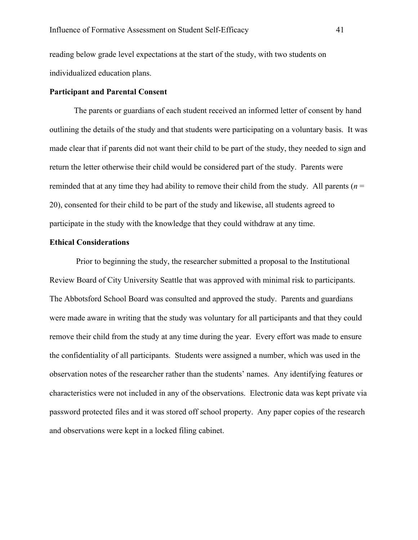reading below grade level expectations at the start of the study, with two students on individualized education plans.

#### **Participant and Parental Consent**

The parents or guardians of each student received an informed letter of consent by hand outlining the details of the study and that students were participating on a voluntary basis. It was made clear that if parents did not want their child to be part of the study, they needed to sign and return the letter otherwise their child would be considered part of the study. Parents were reminded that at any time they had ability to remove their child from the study. All parents  $(n =$ 20), consented for their child to be part of the study and likewise, all students agreed to participate in the study with the knowledge that they could withdraw at any time.

#### **Ethical Considerations**

Prior to beginning the study, the researcher submitted a proposal to the Institutional Review Board of City University Seattle that was approved with minimal risk to participants. The Abbotsford School Board was consulted and approved the study. Parents and guardians were made aware in writing that the study was voluntary for all participants and that they could remove their child from the study at any time during the year. Every effort was made to ensure the confidentiality of all participants. Students were assigned a number, which was used in the observation notes of the researcher rather than the students' names. Any identifying features or characteristics were not included in any of the observations. Electronic data was kept private via password protected files and it was stored off school property. Any paper copies of the research and observations were kept in a locked filing cabinet.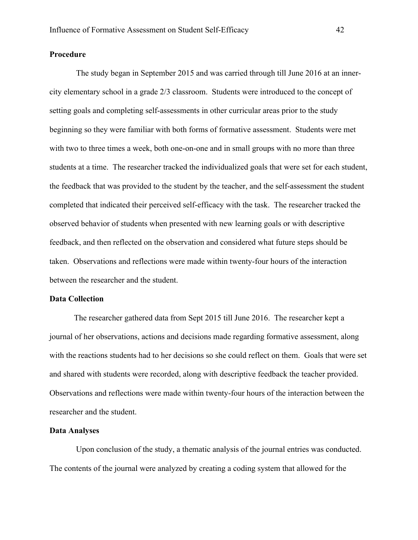# **Procedure**

The study began in September 2015 and was carried through till June 2016 at an innercity elementary school in a grade 2/3 classroom. Students were introduced to the concept of setting goals and completing self-assessments in other curricular areas prior to the study beginning so they were familiar with both forms of formative assessment. Students were met with two to three times a week, both one-on-one and in small groups with no more than three students at a time. The researcher tracked the individualized goals that were set for each student, the feedback that was provided to the student by the teacher, and the self-assessment the student completed that indicated their perceived self-efficacy with the task. The researcher tracked the observed behavior of students when presented with new learning goals or with descriptive feedback, and then reflected on the observation and considered what future steps should be taken. Observations and reflections were made within twenty-four hours of the interaction between the researcher and the student.

#### **Data Collection**

The researcher gathered data from Sept 2015 till June 2016. The researcher kept a journal of her observations, actions and decisions made regarding formative assessment, along with the reactions students had to her decisions so she could reflect on them. Goals that were set and shared with students were recorded, along with descriptive feedback the teacher provided. Observations and reflections were made within twenty-four hours of the interaction between the researcher and the student.

#### **Data Analyses**

Upon conclusion of the study, a thematic analysis of the journal entries was conducted. The contents of the journal were analyzed by creating a coding system that allowed for the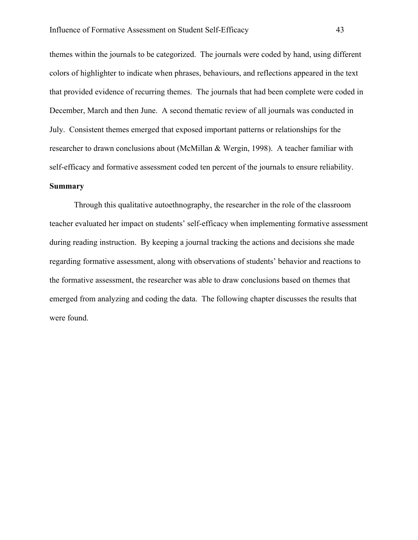themes within the journals to be categorized. The journals were coded by hand, using different colors of highlighter to indicate when phrases, behaviours, and reflections appeared in the text that provided evidence of recurring themes. The journals that had been complete were coded in December, March and then June. A second thematic review of all journals was conducted in July. Consistent themes emerged that exposed important patterns or relationships for the researcher to drawn conclusions about (McMillan & Wergin, 1998). A teacher familiar with self-efficacy and formative assessment coded ten percent of the journals to ensure reliability.

# **Summary**

Through this qualitative autoethnography, the researcher in the role of the classroom teacher evaluated her impact on students' self-efficacy when implementing formative assessment during reading instruction. By keeping a journal tracking the actions and decisions she made regarding formative assessment, along with observations of students' behavior and reactions to the formative assessment, the researcher was able to draw conclusions based on themes that emerged from analyzing and coding the data. The following chapter discusses the results that were found.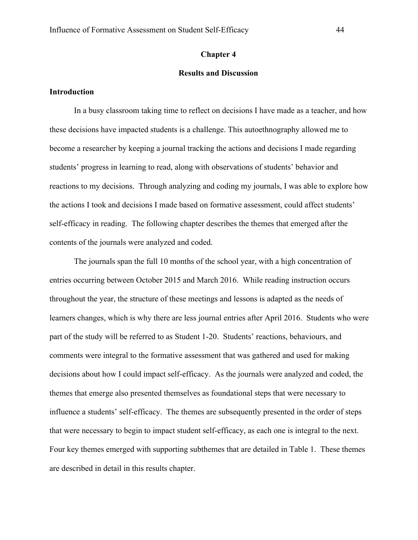## **Chapter 4**

# **Results and Discussion**

## **Introduction**

In a busy classroom taking time to reflect on decisions I have made as a teacher, and how these decisions have impacted students is a challenge. This autoethnography allowed me to become a researcher by keeping a journal tracking the actions and decisions I made regarding students' progress in learning to read, along with observations of students' behavior and reactions to my decisions. Through analyzing and coding my journals, I was able to explore how the actions I took and decisions I made based on formative assessment, could affect students' self-efficacy in reading. The following chapter describes the themes that emerged after the contents of the journals were analyzed and coded.

The journals span the full 10 months of the school year, with a high concentration of entries occurring between October 2015 and March 2016. While reading instruction occurs throughout the year, the structure of these meetings and lessons is adapted as the needs of learners changes, which is why there are less journal entries after April 2016. Students who were part of the study will be referred to as Student 1-20. Students' reactions, behaviours, and comments were integral to the formative assessment that was gathered and used for making decisions about how I could impact self-efficacy. As the journals were analyzed and coded, the themes that emerge also presented themselves as foundational steps that were necessary to influence a students' self-efficacy. The themes are subsequently presented in the order of steps that were necessary to begin to impact student self-efficacy, as each one is integral to the next. Four key themes emerged with supporting subthemes that are detailed in Table 1. These themes are described in detail in this results chapter.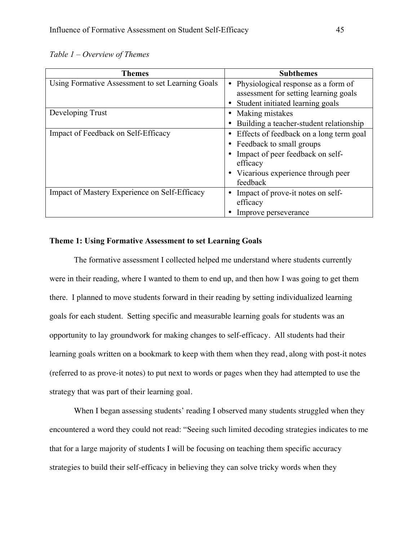*Table 1 – Overview of Themes*

| <b>Themes</b>                                    | <b>Subthemes</b>                                                             |
|--------------------------------------------------|------------------------------------------------------------------------------|
| Using Formative Assessment to set Learning Goals | Physiological response as a form of<br>assessment for setting learning goals |
|                                                  | Student initiated learning goals                                             |
| Developing Trust                                 | Making mistakes                                                              |
|                                                  | Building a teacher-student relationship                                      |
| Impact of Feedback on Self-Efficacy              | Effects of feedback on a long term goal                                      |
|                                                  | • Feedback to small groups                                                   |
|                                                  | Impact of peer feedback on self-                                             |
|                                                  | efficacy                                                                     |
|                                                  | • Vicarious experience through peer                                          |
|                                                  | feedback                                                                     |
| Impact of Mastery Experience on Self-Efficacy    | Impact of prove-it notes on self-                                            |
|                                                  | efficacy                                                                     |
|                                                  | Improve perseverance                                                         |

# **Theme 1: Using Formative Assessment to set Learning Goals**

The formative assessment I collected helped me understand where students currently were in their reading, where I wanted to them to end up, and then how I was going to get them there. I planned to move students forward in their reading by setting individualized learning goals for each student. Setting specific and measurable learning goals for students was an opportunity to lay groundwork for making changes to self-efficacy. All students had their learning goals written on a bookmark to keep with them when they read, along with post-it notes (referred to as prove-it notes) to put next to words or pages when they had attempted to use the strategy that was part of their learning goal.

When I began assessing students' reading I observed many students struggled when they encountered a word they could not read: "Seeing such limited decoding strategies indicates to me that for a large majority of students I will be focusing on teaching them specific accuracy strategies to build their self-efficacy in believing they can solve tricky words when they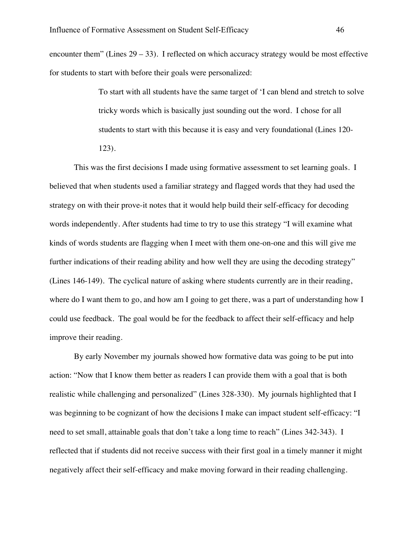encounter them" (Lines  $29 - 33$ ). I reflected on which accuracy strategy would be most effective for students to start with before their goals were personalized:

> To start with all students have the same target of 'I can blend and stretch to solve tricky words which is basically just sounding out the word. I chose for all students to start with this because it is easy and very foundational (Lines 120- 123).

This was the first decisions I made using formative assessment to set learning goals. I believed that when students used a familiar strategy and flagged words that they had used the strategy on with their prove-it notes that it would help build their self-efficacy for decoding words independently. After students had time to try to use this strategy "I will examine what kinds of words students are flagging when I meet with them one-on-one and this will give me further indications of their reading ability and how well they are using the decoding strategy" (Lines 146-149). The cyclical nature of asking where students currently are in their reading, where do I want them to go, and how am I going to get there, was a part of understanding how I could use feedback. The goal would be for the feedback to affect their self-efficacy and help improve their reading.

By early November my journals showed how formative data was going to be put into action: "Now that I know them better as readers I can provide them with a goal that is both realistic while challenging and personalized" (Lines 328-330). My journals highlighted that I was beginning to be cognizant of how the decisions I make can impact student self-efficacy: "I need to set small, attainable goals that don't take a long time to reach" (Lines 342-343). I reflected that if students did not receive success with their first goal in a timely manner it might negatively affect their self-efficacy and make moving forward in their reading challenging.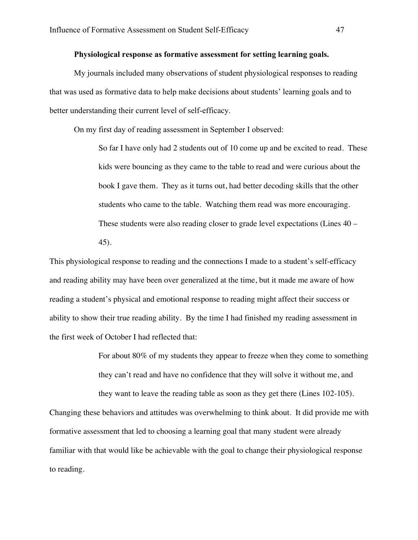## **Physiological response as formative assessment for setting learning goals.**

My journals included many observations of student physiological responses to reading that was used as formative data to help make decisions about students' learning goals and to better understanding their current level of self-efficacy.

On my first day of reading assessment in September I observed:

So far I have only had 2 students out of 10 come up and be excited to read. These kids were bouncing as they came to the table to read and were curious about the book I gave them. They as it turns out, had better decoding skills that the other students who came to the table. Watching them read was more encouraging. These students were also reading closer to grade level expectations (Lines 40 – 45).

This physiological response to reading and the connections I made to a student's self-efficacy and reading ability may have been over generalized at the time, but it made me aware of how reading a student's physical and emotional response to reading might affect their success or ability to show their true reading ability. By the time I had finished my reading assessment in the first week of October I had reflected that:

> For about 80% of my students they appear to freeze when they come to something they can't read and have no confidence that they will solve it without me, and they want to leave the reading table as soon as they get there (Lines 102-105).

Changing these behaviors and attitudes was overwhelming to think about. It did provide me with formative assessment that led to choosing a learning goal that many student were already familiar with that would like be achievable with the goal to change their physiological response to reading.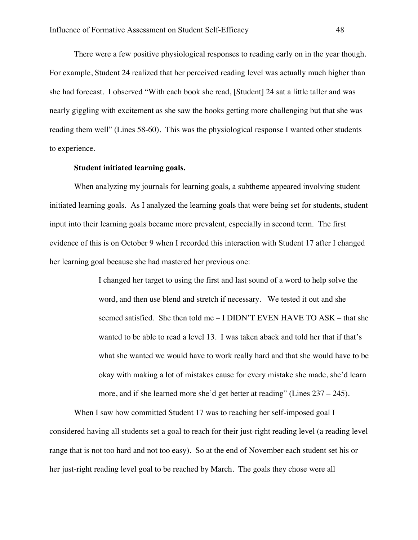There were a few positive physiological responses to reading early on in the year though. For example, Student 24 realized that her perceived reading level was actually much higher than she had forecast. I observed "With each book she read, [Student] 24 sat a little taller and was nearly giggling with excitement as she saw the books getting more challenging but that she was reading them well" (Lines 58-60). This was the physiological response I wanted other students to experience.

#### **Student initiated learning goals.**

When analyzing my journals for learning goals, a subtheme appeared involving student initiated learning goals. As I analyzed the learning goals that were being set for students, student input into their learning goals became more prevalent, especially in second term. The first evidence of this is on October 9 when I recorded this interaction with Student 17 after I changed her learning goal because she had mastered her previous one:

> I changed her target to using the first and last sound of a word to help solve the word, and then use blend and stretch if necessary. We tested it out and she seemed satisfied. She then told me – I DIDN'T EVEN HAVE TO ASK – that she wanted to be able to read a level 13. I was taken aback and told her that if that's what she wanted we would have to work really hard and that she would have to be okay with making a lot of mistakes cause for every mistake she made, she'd learn more, and if she learned more she'd get better at reading" (Lines 237 – 245).

When I saw how committed Student 17 was to reaching her self-imposed goal I considered having all students set a goal to reach for their just-right reading level (a reading level range that is not too hard and not too easy). So at the end of November each student set his or her just-right reading level goal to be reached by March. The goals they chose were all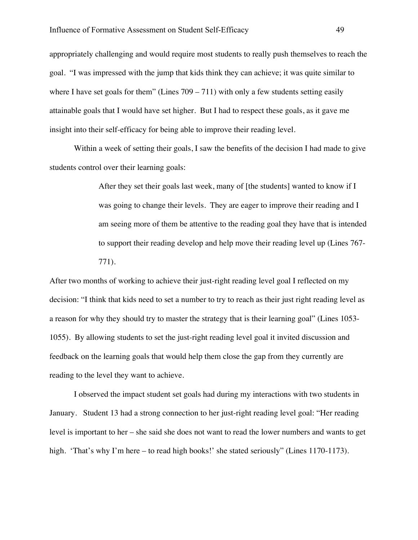appropriately challenging and would require most students to really push themselves to reach the goal. "I was impressed with the jump that kids think they can achieve; it was quite similar to where I have set goals for them" (Lines  $709 - 711$ ) with only a few students setting easily attainable goals that I would have set higher. But I had to respect these goals, as it gave me insight into their self-efficacy for being able to improve their reading level.

Within a week of setting their goals, I saw the benefits of the decision I had made to give students control over their learning goals:

> After they set their goals last week, many of [the students] wanted to know if I was going to change their levels. They are eager to improve their reading and I am seeing more of them be attentive to the reading goal they have that is intended to support their reading develop and help move their reading level up (Lines 767- 771).

After two months of working to achieve their just-right reading level goal I reflected on my decision: "I think that kids need to set a number to try to reach as their just right reading level as a reason for why they should try to master the strategy that is their learning goal" (Lines 1053- 1055). By allowing students to set the just-right reading level goal it invited discussion and feedback on the learning goals that would help them close the gap from they currently are reading to the level they want to achieve.

I observed the impact student set goals had during my interactions with two students in January. Student 13 had a strong connection to her just-right reading level goal: "Her reading level is important to her – she said she does not want to read the lower numbers and wants to get high. 'That's why I'm here – to read high books!' she stated seriously" (Lines 1170-1173).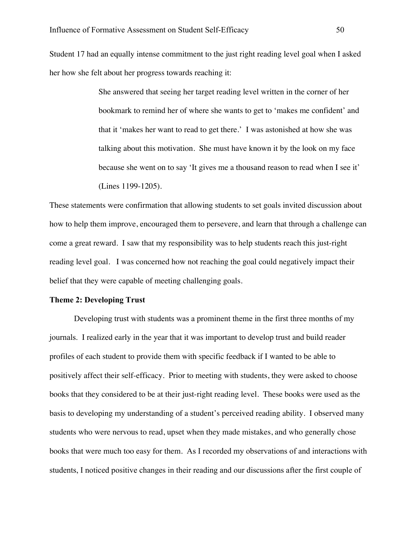Student 17 had an equally intense commitment to the just right reading level goal when I asked her how she felt about her progress towards reaching it:

> She answered that seeing her target reading level written in the corner of her bookmark to remind her of where she wants to get to 'makes me confident' and that it 'makes her want to read to get there.' I was astonished at how she was talking about this motivation. She must have known it by the look on my face because she went on to say 'It gives me a thousand reason to read when I see it' (Lines 1199-1205).

These statements were confirmation that allowing students to set goals invited discussion about how to help them improve, encouraged them to persevere, and learn that through a challenge can come a great reward. I saw that my responsibility was to help students reach this just-right reading level goal. I was concerned how not reaching the goal could negatively impact their belief that they were capable of meeting challenging goals.

# **Theme 2: Developing Trust**

Developing trust with students was a prominent theme in the first three months of my journals. I realized early in the year that it was important to develop trust and build reader profiles of each student to provide them with specific feedback if I wanted to be able to positively affect their self-efficacy. Prior to meeting with students, they were asked to choose books that they considered to be at their just-right reading level. These books were used as the basis to developing my understanding of a student's perceived reading ability. I observed many students who were nervous to read, upset when they made mistakes, and who generally chose books that were much too easy for them. As I recorded my observations of and interactions with students, I noticed positive changes in their reading and our discussions after the first couple of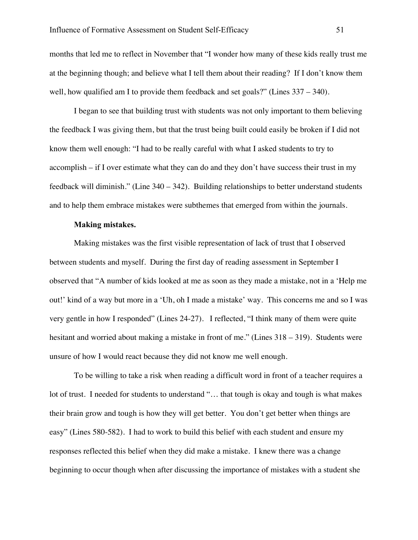months that led me to reflect in November that "I wonder how many of these kids really trust me at the beginning though; and believe what I tell them about their reading? If I don't know them well, how qualified am I to provide them feedback and set goals?" (Lines  $337 - 340$ ).

I began to see that building trust with students was not only important to them believing the feedback I was giving them, but that the trust being built could easily be broken if I did not know them well enough: "I had to be really careful with what I asked students to try to accomplish – if I over estimate what they can do and they don't have success their trust in my feedback will diminish." (Line 340 – 342). Building relationships to better understand students and to help them embrace mistakes were subthemes that emerged from within the journals.

#### **Making mistakes.**

Making mistakes was the first visible representation of lack of trust that I observed between students and myself. During the first day of reading assessment in September I observed that "A number of kids looked at me as soon as they made a mistake, not in a 'Help me out!' kind of a way but more in a 'Uh, oh I made a mistake' way. This concerns me and so I was very gentle in how I responded" (Lines 24-27). I reflected, "I think many of them were quite hesitant and worried about making a mistake in front of me." (Lines 318 – 319). Students were unsure of how I would react because they did not know me well enough.

To be willing to take a risk when reading a difficult word in front of a teacher requires a lot of trust. I needed for students to understand "... that tough is okay and tough is what makes their brain grow and tough is how they will get better. You don't get better when things are easy" (Lines 580-582). I had to work to build this belief with each student and ensure my responses reflected this belief when they did make a mistake. I knew there was a change beginning to occur though when after discussing the importance of mistakes with a student she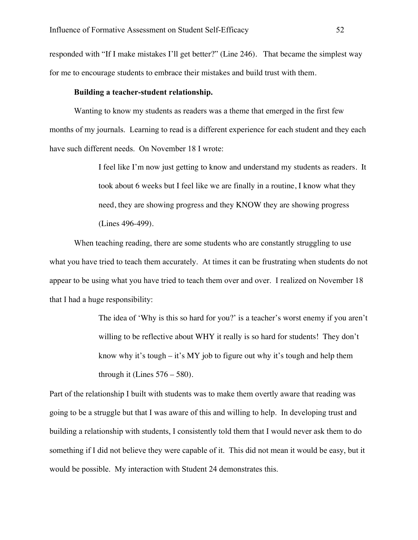responded with "If I make mistakes I'll get better?" (Line 246). That became the simplest way for me to encourage students to embrace their mistakes and build trust with them.

#### **Building a teacher-student relationship.**

Wanting to know my students as readers was a theme that emerged in the first few months of my journals. Learning to read is a different experience for each student and they each have such different needs. On November 18 I wrote:

> I feel like I'm now just getting to know and understand my students as readers. It took about 6 weeks but I feel like we are finally in a routine, I know what they need, they are showing progress and they KNOW they are showing progress (Lines 496-499).

When teaching reading, there are some students who are constantly struggling to use what you have tried to teach them accurately. At times it can be frustrating when students do not appear to be using what you have tried to teach them over and over. I realized on November 18 that I had a huge responsibility:

> The idea of 'Why is this so hard for you?' is a teacher's worst enemy if you aren't willing to be reflective about WHY it really is so hard for students! They don't know why it's tough – it's MY job to figure out why it's tough and help them through it (Lines  $576 - 580$ ).

Part of the relationship I built with students was to make them overtly aware that reading was going to be a struggle but that I was aware of this and willing to help. In developing trust and building a relationship with students, I consistently told them that I would never ask them to do something if I did not believe they were capable of it. This did not mean it would be easy, but it would be possible. My interaction with Student 24 demonstrates this.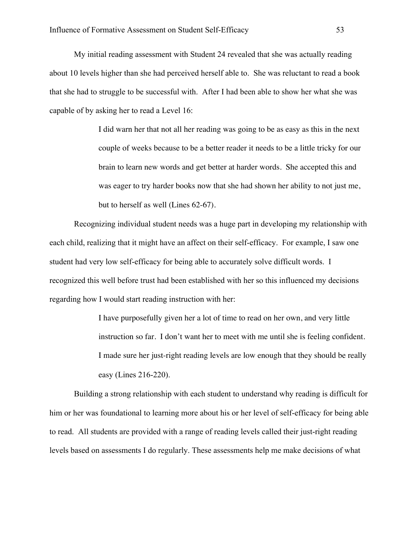My initial reading assessment with Student 24 revealed that she was actually reading about 10 levels higher than she had perceived herself able to. She was reluctant to read a book that she had to struggle to be successful with. After I had been able to show her what she was capable of by asking her to read a Level 16:

> I did warn her that not all her reading was going to be as easy as this in the next couple of weeks because to be a better reader it needs to be a little tricky for our brain to learn new words and get better at harder words. She accepted this and was eager to try harder books now that she had shown her ability to not just me, but to herself as well (Lines 62-67).

Recognizing individual student needs was a huge part in developing my relationship with each child, realizing that it might have an affect on their self-efficacy. For example, I saw one student had very low self-efficacy for being able to accurately solve difficult words. I recognized this well before trust had been established with her so this influenced my decisions regarding how I would start reading instruction with her:

> I have purposefully given her a lot of time to read on her own, and very little instruction so far. I don't want her to meet with me until she is feeling confident. I made sure her just-right reading levels are low enough that they should be really easy (Lines 216-220).

Building a strong relationship with each student to understand why reading is difficult for him or her was foundational to learning more about his or her level of self-efficacy for being able to read. All students are provided with a range of reading levels called their just-right reading levels based on assessments I do regularly. These assessments help me make decisions of what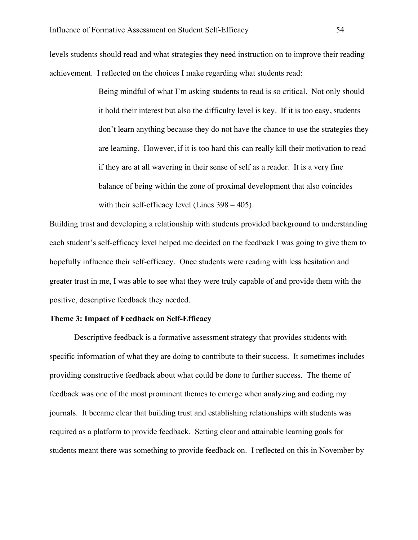levels students should read and what strategies they need instruction on to improve their reading achievement. I reflected on the choices I make regarding what students read:

> Being mindful of what I'm asking students to read is so critical. Not only should it hold their interest but also the difficulty level is key. If it is too easy, students don't learn anything because they do not have the chance to use the strategies they are learning. However, if it is too hard this can really kill their motivation to read if they are at all wavering in their sense of self as a reader. It is a very fine balance of being within the zone of proximal development that also coincides with their self-efficacy level (Lines 398 – 405).

Building trust and developing a relationship with students provided background to understanding each student's self-efficacy level helped me decided on the feedback I was going to give them to hopefully influence their self-efficacy. Once students were reading with less hesitation and greater trust in me, I was able to see what they were truly capable of and provide them with the positive, descriptive feedback they needed.

## **Theme 3: Impact of Feedback on Self-Efficacy**

Descriptive feedback is a formative assessment strategy that provides students with specific information of what they are doing to contribute to their success. It sometimes includes providing constructive feedback about what could be done to further success. The theme of feedback was one of the most prominent themes to emerge when analyzing and coding my journals. It became clear that building trust and establishing relationships with students was required as a platform to provide feedback. Setting clear and attainable learning goals for students meant there was something to provide feedback on. I reflected on this in November by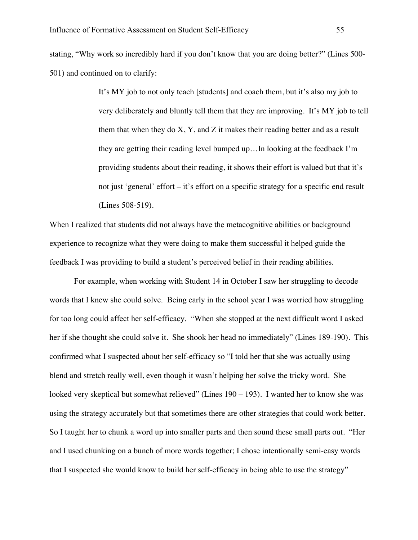stating, "Why work so incredibly hard if you don't know that you are doing better?" (Lines 500- 501) and continued on to clarify:

> It's MY job to not only teach [students] and coach them, but it's also my job to very deliberately and bluntly tell them that they are improving. It's MY job to tell them that when they do  $X, Y$ , and  $Z$  it makes their reading better and as a result they are getting their reading level bumped up…In looking at the feedback I'm providing students about their reading, it shows their effort is valued but that it's not just 'general' effort – it's effort on a specific strategy for a specific end result (Lines 508-519).

When I realized that students did not always have the metacognitive abilities or background experience to recognize what they were doing to make them successful it helped guide the feedback I was providing to build a student's perceived belief in their reading abilities.

For example, when working with Student 14 in October I saw her struggling to decode words that I knew she could solve. Being early in the school year I was worried how struggling for too long could affect her self-efficacy. "When she stopped at the next difficult word I asked her if she thought she could solve it. She shook her head no immediately" (Lines 189-190). This confirmed what I suspected about her self-efficacy so "I told her that she was actually using blend and stretch really well, even though it wasn't helping her solve the tricky word. She looked very skeptical but somewhat relieved" (Lines 190 – 193). I wanted her to know she was using the strategy accurately but that sometimes there are other strategies that could work better. So I taught her to chunk a word up into smaller parts and then sound these small parts out. "Her and I used chunking on a bunch of more words together; I chose intentionally semi-easy words that I suspected she would know to build her self-efficacy in being able to use the strategy"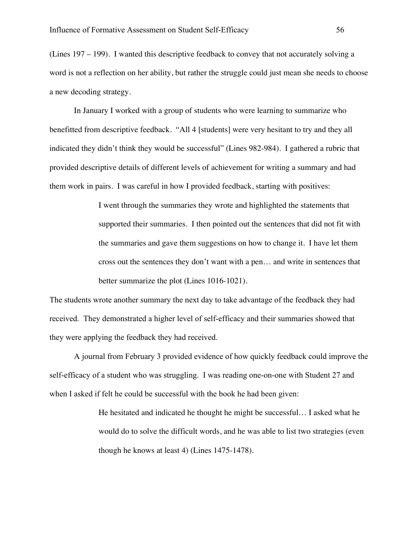(Lines 197 – 199). I wanted this descriptive feedback to convey that not accurately solving a word is not a reflection on her ability, but rather the struggle could just mean she needs to choose a new decoding strategy.

In January I worked with a group of students who were learning to summarize who benefitted from descriptive feedback. "All 4 [students] were very hesitant to try and they all indicated they didn't think they would be successful" (Lines 982-984). I gathered a rubric that provided descriptive details of different levels of achievement for writing a summary and had them work in pairs. I was careful in how I provided feedback, starting with positives:

> I went through the summaries they wrote and highlighted the statements that supported their summaries. I then pointed out the sentences that did not fit with the summaries and gave them suggestions on how to change it. I have let them cross out the sentences they don't want with a pen… and write in sentences that better summarize the plot (Lines 1016-1021).

The students wrote another summary the next day to take advantage of the feedback they had received. They demonstrated a higher level of self-efficacy and their summaries showed that they were applying the feedback they had received.

A journal from February 3 provided evidence of how quickly feedback could improve the self-efficacy of a student who was struggling. I was reading one-on-one with Student 27 and when I asked if felt he could be successful with the book he had been given:

> He hesitated and indicated he thought he might be successful… I asked what he would do to solve the difficult words, and he was able to list two strategies (even though he knows at least 4) (Lines 1475-1478).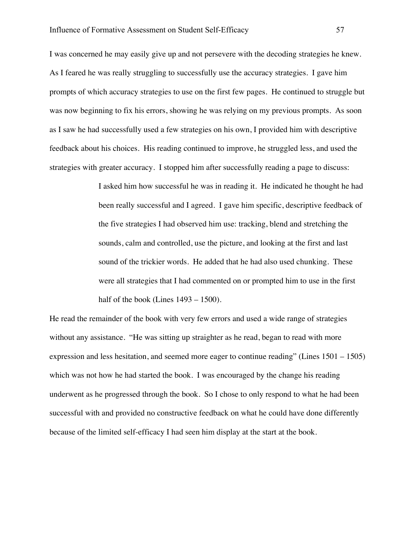I was concerned he may easily give up and not persevere with the decoding strategies he knew. As I feared he was really struggling to successfully use the accuracy strategies. I gave him prompts of which accuracy strategies to use on the first few pages. He continued to struggle but was now beginning to fix his errors, showing he was relying on my previous prompts. As soon as I saw he had successfully used a few strategies on his own, I provided him with descriptive feedback about his choices. His reading continued to improve, he struggled less, and used the strategies with greater accuracy. I stopped him after successfully reading a page to discuss:

> I asked him how successful he was in reading it. He indicated he thought he had been really successful and I agreed. I gave him specific, descriptive feedback of the five strategies I had observed him use: tracking, blend and stretching the sounds, calm and controlled, use the picture, and looking at the first and last sound of the trickier words. He added that he had also used chunking. These were all strategies that I had commented on or prompted him to use in the first half of the book (Lines  $1493 - 1500$ ).

He read the remainder of the book with very few errors and used a wide range of strategies without any assistance. "He was sitting up straighter as he read, began to read with more expression and less hesitation, and seemed more eager to continue reading" (Lines 1501 – 1505) which was not how he had started the book. I was encouraged by the change his reading underwent as he progressed through the book. So I chose to only respond to what he had been successful with and provided no constructive feedback on what he could have done differently because of the limited self-efficacy I had seen him display at the start at the book.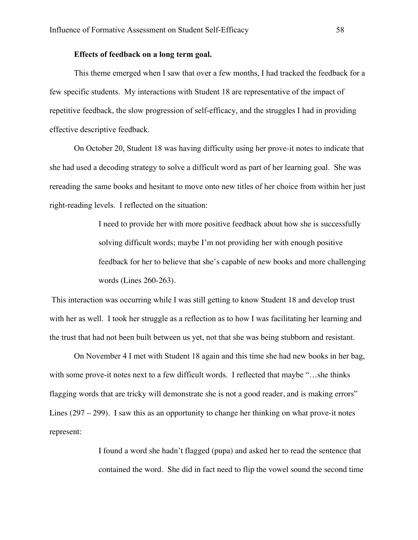## **Effects of feedback on a long term goal.**

This theme emerged when I saw that over a few months, I had tracked the feedback for a few specific students. My interactions with Student 18 are representative of the impact of repetitive feedback, the slow progression of self-efficacy, and the struggles I had in providing effective descriptive feedback.

On October 20, Student 18 was having difficulty using her prove-it notes to indicate that she had used a decoding strategy to solve a difficult word as part of her learning goal. She was rereading the same books and hesitant to move onto new titles of her choice from within her just right-reading levels. I reflected on the situation:

> I need to provide her with more positive feedback about how she is successfully solving difficult words; maybe I'm not providing her with enough positive feedback for her to believe that she's capable of new books and more challenging words (Lines 260-263).

This interaction was occurring while I was still getting to know Student 18 and develop trust with her as well. I took her struggle as a reflection as to how I was facilitating her learning and the trust that had not been built between us yet, not that she was being stubborn and resistant.

On November 4 I met with Student 18 again and this time she had new books in her bag, with some prove-it notes next to a few difficult words. I reflected that maybe "…she thinks flagging words that are tricky will demonstrate she is not a good reader, and is making errors" Lines (297 – 299). I saw this as an opportunity to change her thinking on what prove-it notes represent:

> I found a word she hadn't flagged (pupa) and asked her to read the sentence that contained the word. She did in fact need to flip the vowel sound the second time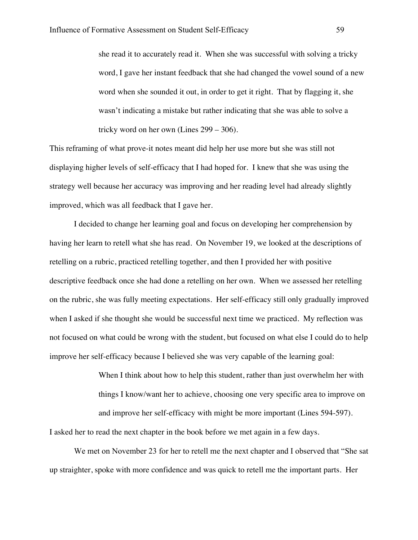she read it to accurately read it. When she was successful with solving a tricky word, I gave her instant feedback that she had changed the vowel sound of a new word when she sounded it out, in order to get it right. That by flagging it, she wasn't indicating a mistake but rather indicating that she was able to solve a tricky word on her own (Lines 299 – 306).

This reframing of what prove-it notes meant did help her use more but she was still not displaying higher levels of self-efficacy that I had hoped for. I knew that she was using the strategy well because her accuracy was improving and her reading level had already slightly improved, which was all feedback that I gave her.

I decided to change her learning goal and focus on developing her comprehension by having her learn to retell what she has read. On November 19, we looked at the descriptions of retelling on a rubric, practiced retelling together, and then I provided her with positive descriptive feedback once she had done a retelling on her own. When we assessed her retelling on the rubric, she was fully meeting expectations. Her self-efficacy still only gradually improved when I asked if she thought she would be successful next time we practiced. My reflection was not focused on what could be wrong with the student, but focused on what else I could do to help improve her self-efficacy because I believed she was very capable of the learning goal:

> When I think about how to help this student, rather than just overwhelm her with things I know/want her to achieve, choosing one very specific area to improve on and improve her self-efficacy with might be more important (Lines 594-597).

I asked her to read the next chapter in the book before we met again in a few days.

We met on November 23 for her to retell me the next chapter and I observed that "She sat up straighter, spoke with more confidence and was quick to retell me the important parts. Her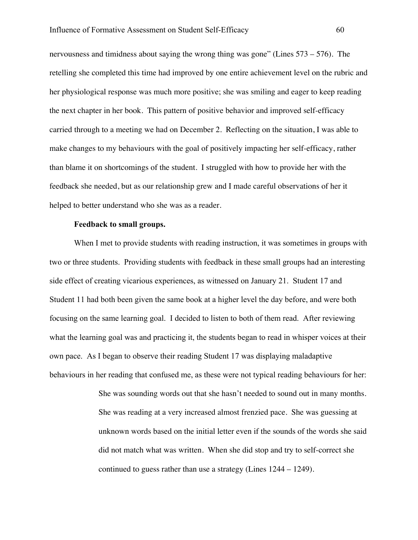nervousness and timidness about saying the wrong thing was gone" (Lines 573 – 576). The retelling she completed this time had improved by one entire achievement level on the rubric and her physiological response was much more positive; she was smiling and eager to keep reading the next chapter in her book. This pattern of positive behavior and improved self-efficacy carried through to a meeting we had on December 2. Reflecting on the situation, I was able to make changes to my behaviours with the goal of positively impacting her self-efficacy, rather than blame it on shortcomings of the student. I struggled with how to provide her with the feedback she needed, but as our relationship grew and I made careful observations of her it helped to better understand who she was as a reader.

#### **Feedback to small groups.**

When I met to provide students with reading instruction, it was sometimes in groups with two or three students. Providing students with feedback in these small groups had an interesting side effect of creating vicarious experiences, as witnessed on January 21. Student 17 and Student 11 had both been given the same book at a higher level the day before, and were both focusing on the same learning goal. I decided to listen to both of them read. After reviewing what the learning goal was and practicing it, the students began to read in whisper voices at their own pace. As I began to observe their reading Student 17 was displaying maladaptive behaviours in her reading that confused me, as these were not typical reading behaviours for her:

> She was sounding words out that she hasn't needed to sound out in many months. She was reading at a very increased almost frenzied pace. She was guessing at unknown words based on the initial letter even if the sounds of the words she said did not match what was written. When she did stop and try to self-correct she continued to guess rather than use a strategy (Lines 1244 – 1249).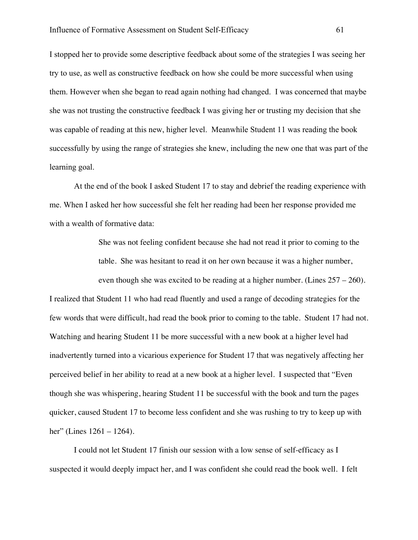I stopped her to provide some descriptive feedback about some of the strategies I was seeing her try to use, as well as constructive feedback on how she could be more successful when using them. However when she began to read again nothing had changed. I was concerned that maybe she was not trusting the constructive feedback I was giving her or trusting my decision that she was capable of reading at this new, higher level. Meanwhile Student 11 was reading the book successfully by using the range of strategies she knew, including the new one that was part of the learning goal.

At the end of the book I asked Student 17 to stay and debrief the reading experience with me. When I asked her how successful she felt her reading had been her response provided me with a wealth of formative data:

> She was not feeling confident because she had not read it prior to coming to the table. She was hesitant to read it on her own because it was a higher number,

even though she was excited to be reading at a higher number. (Lines  $257 - 260$ ).

I realized that Student 11 who had read fluently and used a range of decoding strategies for the few words that were difficult, had read the book prior to coming to the table. Student 17 had not. Watching and hearing Student 11 be more successful with a new book at a higher level had inadvertently turned into a vicarious experience for Student 17 that was negatively affecting her perceived belief in her ability to read at a new book at a higher level. I suspected that "Even though she was whispering, hearing Student 11 be successful with the book and turn the pages quicker, caused Student 17 to become less confident and she was rushing to try to keep up with her" (Lines 1261 – 1264).

I could not let Student 17 finish our session with a low sense of self-efficacy as I suspected it would deeply impact her, and I was confident she could read the book well. I felt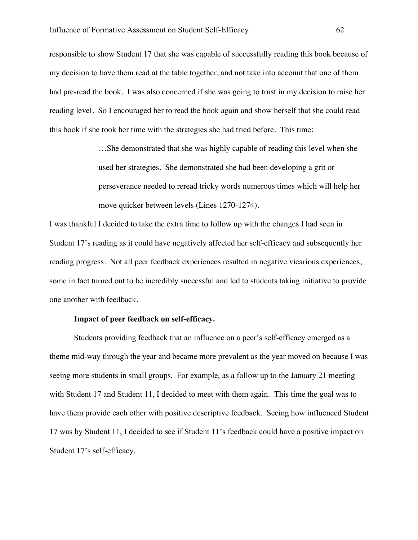responsible to show Student 17 that she was capable of successfully reading this book because of my decision to have them read at the table together, and not take into account that one of them had pre-read the book. I was also concerned if she was going to trust in my decision to raise her reading level. So I encouraged her to read the book again and show herself that she could read this book if she took her time with the strategies she had tried before. This time:

> …She demonstrated that she was highly capable of reading this level when she used her strategies. She demonstrated she had been developing a grit or perseverance needed to reread tricky words numerous times which will help her move quicker between levels (Lines 1270-1274).

I was thankful I decided to take the extra time to follow up with the changes I had seen in Student 17's reading as it could have negatively affected her self-efficacy and subsequently her reading progress. Not all peer feedback experiences resulted in negative vicarious experiences, some in fact turned out to be incredibly successful and led to students taking initiative to provide one another with feedback.

# **Impact of peer feedback on self-efficacy.**

Students providing feedback that an influence on a peer's self-efficacy emerged as a theme mid-way through the year and became more prevalent as the year moved on because I was seeing more students in small groups. For example, as a follow up to the January 21 meeting with Student 17 and Student 11, I decided to meet with them again. This time the goal was to have them provide each other with positive descriptive feedback. Seeing how influenced Student 17 was by Student 11, I decided to see if Student 11's feedback could have a positive impact on Student 17's self-efficacy.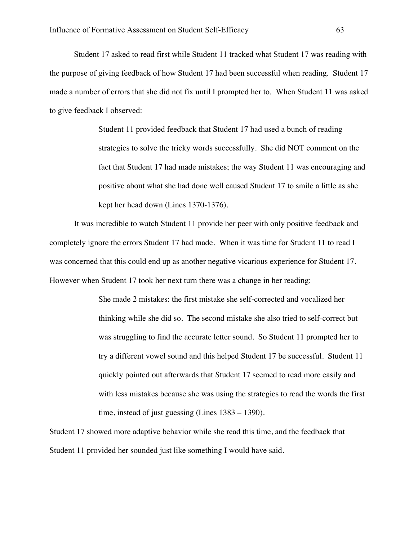Student 17 asked to read first while Student 11 tracked what Student 17 was reading with the purpose of giving feedback of how Student 17 had been successful when reading. Student 17 made a number of errors that she did not fix until I prompted her to. When Student 11 was asked to give feedback I observed:

> Student 11 provided feedback that Student 17 had used a bunch of reading strategies to solve the tricky words successfully. She did NOT comment on the fact that Student 17 had made mistakes; the way Student 11 was encouraging and positive about what she had done well caused Student 17 to smile a little as she kept her head down (Lines 1370-1376).

It was incredible to watch Student 11 provide her peer with only positive feedback and completely ignore the errors Student 17 had made. When it was time for Student 11 to read I was concerned that this could end up as another negative vicarious experience for Student 17. However when Student 17 took her next turn there was a change in her reading:

> She made 2 mistakes: the first mistake she self-corrected and vocalized her thinking while she did so. The second mistake she also tried to self-correct but was struggling to find the accurate letter sound. So Student 11 prompted her to try a different vowel sound and this helped Student 17 be successful. Student 11 quickly pointed out afterwards that Student 17 seemed to read more easily and with less mistakes because she was using the strategies to read the words the first time, instead of just guessing (Lines 1383 – 1390).

Student 17 showed more adaptive behavior while she read this time, and the feedback that Student 11 provided her sounded just like something I would have said.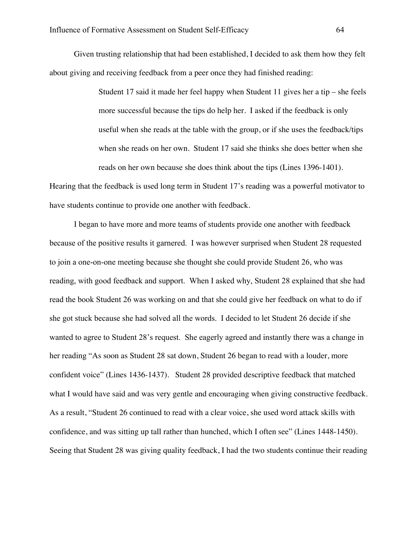Given trusting relationship that had been established, I decided to ask them how they felt about giving and receiving feedback from a peer once they had finished reading:

> Student 17 said it made her feel happy when Student 11 gives her a tip – she feels more successful because the tips do help her. I asked if the feedback is only useful when she reads at the table with the group, or if she uses the feedback/tips when she reads on her own. Student 17 said she thinks she does better when she reads on her own because she does think about the tips (Lines 1396-1401).

Hearing that the feedback is used long term in Student 17's reading was a powerful motivator to have students continue to provide one another with feedback.

I began to have more and more teams of students provide one another with feedback because of the positive results it garnered. I was however surprised when Student 28 requested to join a one-on-one meeting because she thought she could provide Student 26, who was reading, with good feedback and support. When I asked why, Student 28 explained that she had read the book Student 26 was working on and that she could give her feedback on what to do if she got stuck because she had solved all the words. I decided to let Student 26 decide if she wanted to agree to Student 28's request. She eagerly agreed and instantly there was a change in her reading "As soon as Student 28 sat down, Student 26 began to read with a louder, more confident voice" (Lines 1436-1437). Student 28 provided descriptive feedback that matched what I would have said and was very gentle and encouraging when giving constructive feedback. As a result, "Student 26 continued to read with a clear voice, she used word attack skills with confidence, and was sitting up tall rather than hunched, which I often see" (Lines 1448-1450). Seeing that Student 28 was giving quality feedback, I had the two students continue their reading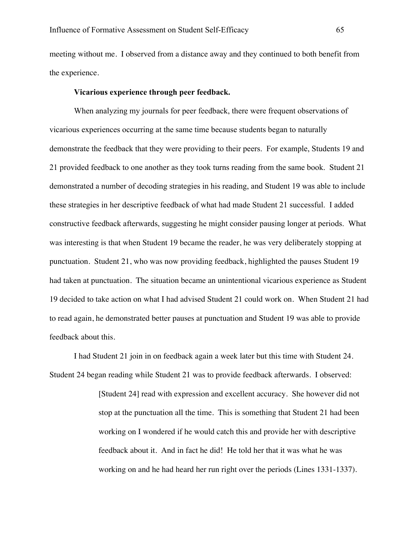meeting without me. I observed from a distance away and they continued to both benefit from the experience.

#### **Vicarious experience through peer feedback.**

When analyzing my journals for peer feedback, there were frequent observations of vicarious experiences occurring at the same time because students began to naturally demonstrate the feedback that they were providing to their peers. For example, Students 19 and 21 provided feedback to one another as they took turns reading from the same book. Student 21 demonstrated a number of decoding strategies in his reading, and Student 19 was able to include these strategies in her descriptive feedback of what had made Student 21 successful. I added constructive feedback afterwards, suggesting he might consider pausing longer at periods. What was interesting is that when Student 19 became the reader, he was very deliberately stopping at punctuation. Student 21, who was now providing feedback, highlighted the pauses Student 19 had taken at punctuation. The situation became an unintentional vicarious experience as Student 19 decided to take action on what I had advised Student 21 could work on. When Student 21 had to read again, he demonstrated better pauses at punctuation and Student 19 was able to provide feedback about this.

I had Student 21 join in on feedback again a week later but this time with Student 24. Student 24 began reading while Student 21 was to provide feedback afterwards. I observed:

> [Student 24] read with expression and excellent accuracy. She however did not stop at the punctuation all the time. This is something that Student 21 had been working on I wondered if he would catch this and provide her with descriptive feedback about it. And in fact he did! He told her that it was what he was working on and he had heard her run right over the periods (Lines 1331-1337).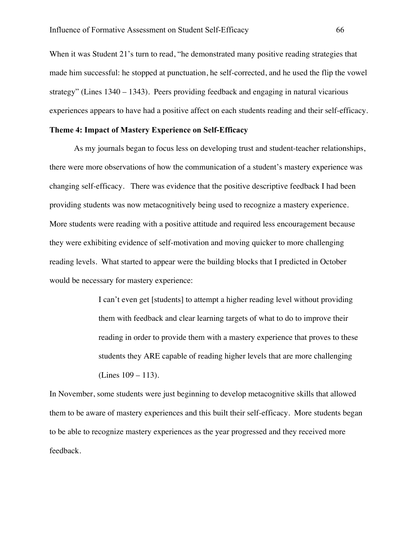When it was Student 21's turn to read, "he demonstrated many positive reading strategies that made him successful: he stopped at punctuation, he self-corrected, and he used the flip the vowel strategy" (Lines 1340 – 1343). Peers providing feedback and engaging in natural vicarious experiences appears to have had a positive affect on each students reading and their self-efficacy.

# **Theme 4: Impact of Mastery Experience on Self-Efficacy**

As my journals began to focus less on developing trust and student-teacher relationships, there were more observations of how the communication of a student's mastery experience was changing self-efficacy. There was evidence that the positive descriptive feedback I had been providing students was now metacognitively being used to recognize a mastery experience. More students were reading with a positive attitude and required less encouragement because they were exhibiting evidence of self-motivation and moving quicker to more challenging reading levels. What started to appear were the building blocks that I predicted in October would be necessary for mastery experience:

> I can't even get [students] to attempt a higher reading level without providing them with feedback and clear learning targets of what to do to improve their reading in order to provide them with a mastery experience that proves to these students they ARE capable of reading higher levels that are more challenging (Lines 109 – 113).

In November, some students were just beginning to develop metacognitive skills that allowed them to be aware of mastery experiences and this built their self-efficacy. More students began to be able to recognize mastery experiences as the year progressed and they received more feedback.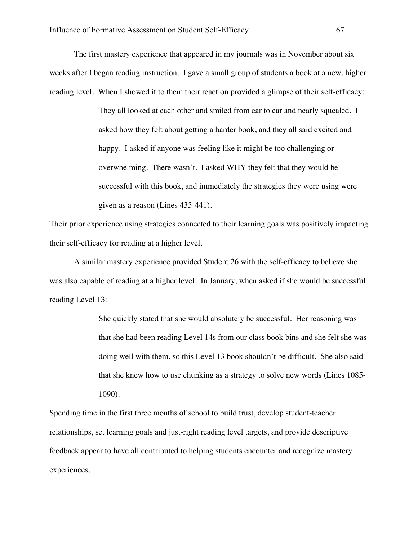The first mastery experience that appeared in my journals was in November about six weeks after I began reading instruction. I gave a small group of students a book at a new, higher reading level. When I showed it to them their reaction provided a glimpse of their self-efficacy:

> They all looked at each other and smiled from ear to ear and nearly squealed. I asked how they felt about getting a harder book, and they all said excited and happy. I asked if anyone was feeling like it might be too challenging or overwhelming. There wasn't. I asked WHY they felt that they would be successful with this book, and immediately the strategies they were using were given as a reason (Lines 435-441).

Their prior experience using strategies connected to their learning goals was positively impacting their self-efficacy for reading at a higher level.

A similar mastery experience provided Student 26 with the self-efficacy to believe she was also capable of reading at a higher level. In January, when asked if she would be successful reading Level 13:

> She quickly stated that she would absolutely be successful. Her reasoning was that she had been reading Level 14s from our class book bins and she felt she was doing well with them, so this Level 13 book shouldn't be difficult. She also said that she knew how to use chunking as a strategy to solve new words (Lines 1085- 1090).

Spending time in the first three months of school to build trust, develop student-teacher relationships, set learning goals and just-right reading level targets, and provide descriptive feedback appear to have all contributed to helping students encounter and recognize mastery experiences.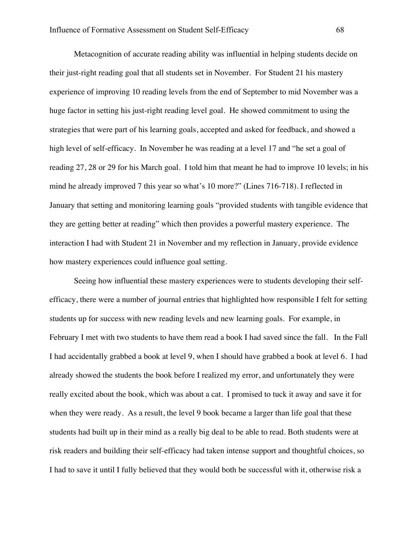Metacognition of accurate reading ability was influential in helping students decide on their just-right reading goal that all students set in November. For Student 21 his mastery experience of improving 10 reading levels from the end of September to mid November was a huge factor in setting his just-right reading level goal. He showed commitment to using the strategies that were part of his learning goals, accepted and asked for feedback, and showed a high level of self-efficacy. In November he was reading at a level 17 and "he set a goal of reading 27, 28 or 29 for his March goal. I told him that meant he had to improve 10 levels; in his mind he already improved 7 this year so what's 10 more?" (Lines 716-718). I reflected in January that setting and monitoring learning goals "provided students with tangible evidence that they are getting better at reading" which then provides a powerful mastery experience. The interaction I had with Student 21 in November and my reflection in January, provide evidence how mastery experiences could influence goal setting.

Seeing how influential these mastery experiences were to students developing their selfefficacy, there were a number of journal entries that highlighted how responsible I felt for setting students up for success with new reading levels and new learning goals. For example, in February I met with two students to have them read a book I had saved since the fall. In the Fall I had accidentally grabbed a book at level 9, when I should have grabbed a book at level 6. I had already showed the students the book before I realized my error, and unfortunately they were really excited about the book, which was about a cat. I promised to tuck it away and save it for when they were ready. As a result, the level 9 book became a larger than life goal that these students had built up in their mind as a really big deal to be able to read. Both students were at risk readers and building their self-efficacy had taken intense support and thoughtful choices, so I had to save it until I fully believed that they would both be successful with it, otherwise risk a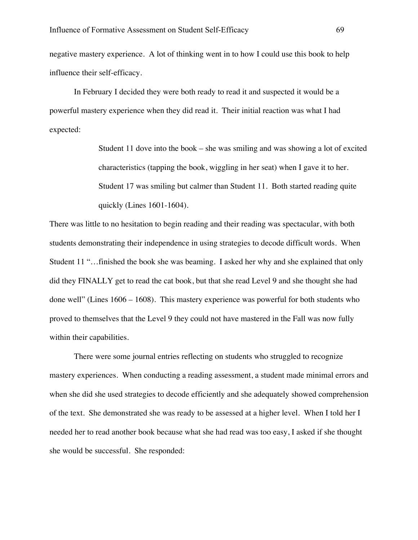negative mastery experience. A lot of thinking went in to how I could use this book to help influence their self-efficacy.

In February I decided they were both ready to read it and suspected it would be a powerful mastery experience when they did read it. Their initial reaction was what I had expected:

> Student 11 dove into the book – she was smiling and was showing a lot of excited characteristics (tapping the book, wiggling in her seat) when I gave it to her. Student 17 was smiling but calmer than Student 11. Both started reading quite quickly (Lines 1601-1604).

There was little to no hesitation to begin reading and their reading was spectacular, with both students demonstrating their independence in using strategies to decode difficult words. When Student 11 "…finished the book she was beaming. I asked her why and she explained that only did they FINALLY get to read the cat book, but that she read Level 9 and she thought she had done well" (Lines 1606 – 1608). This mastery experience was powerful for both students who proved to themselves that the Level 9 they could not have mastered in the Fall was now fully within their capabilities.

There were some journal entries reflecting on students who struggled to recognize mastery experiences. When conducting a reading assessment, a student made minimal errors and when she did she used strategies to decode efficiently and she adequately showed comprehension of the text. She demonstrated she was ready to be assessed at a higher level. When I told her I needed her to read another book because what she had read was too easy, I asked if she thought she would be successful. She responded: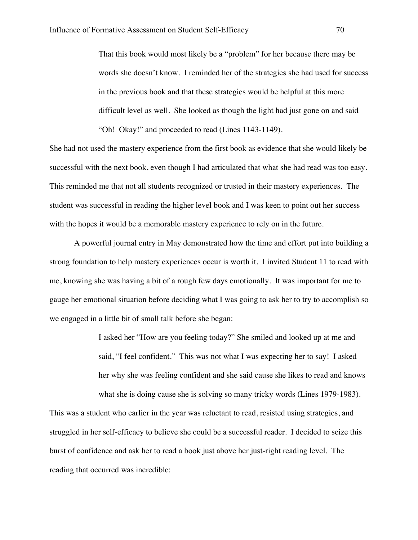That this book would most likely be a "problem" for her because there may be words she doesn't know. I reminded her of the strategies she had used for success in the previous book and that these strategies would be helpful at this more difficult level as well. She looked as though the light had just gone on and said "Oh! Okay!" and proceeded to read (Lines 1143-1149).

She had not used the mastery experience from the first book as evidence that she would likely be successful with the next book, even though I had articulated that what she had read was too easy. This reminded me that not all students recognized or trusted in their mastery experiences. The student was successful in reading the higher level book and I was keen to point out her success with the hopes it would be a memorable mastery experience to rely on in the future.

A powerful journal entry in May demonstrated how the time and effort put into building a strong foundation to help mastery experiences occur is worth it. I invited Student 11 to read with me, knowing she was having a bit of a rough few days emotionally. It was important for me to gauge her emotional situation before deciding what I was going to ask her to try to accomplish so we engaged in a little bit of small talk before she began:

> I asked her "How are you feeling today?" She smiled and looked up at me and said, "I feel confident." This was not what I was expecting her to say! I asked her why she was feeling confident and she said cause she likes to read and knows what she is doing cause she is solving so many tricky words (Lines 1979-1983).

This was a student who earlier in the year was reluctant to read, resisted using strategies, and struggled in her self-efficacy to believe she could be a successful reader. I decided to seize this burst of confidence and ask her to read a book just above her just-right reading level. The reading that occurred was incredible: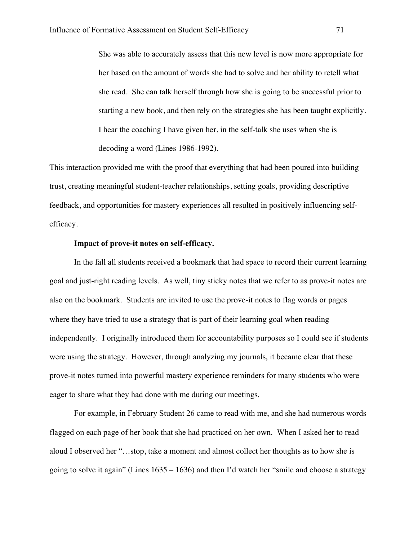She was able to accurately assess that this new level is now more appropriate for her based on the amount of words she had to solve and her ability to retell what she read. She can talk herself through how she is going to be successful prior to starting a new book, and then rely on the strategies she has been taught explicitly. I hear the coaching I have given her, in the self-talk she uses when she is decoding a word (Lines 1986-1992).

This interaction provided me with the proof that everything that had been poured into building trust, creating meaningful student-teacher relationships, setting goals, providing descriptive feedback, and opportunities for mastery experiences all resulted in positively influencing selfefficacy.

## **Impact of prove-it notes on self-efficacy.**

In the fall all students received a bookmark that had space to record their current learning goal and just-right reading levels. As well, tiny sticky notes that we refer to as prove-it notes are also on the bookmark. Students are invited to use the prove-it notes to flag words or pages where they have tried to use a strategy that is part of their learning goal when reading independently. I originally introduced them for accountability purposes so I could see if students were using the strategy. However, through analyzing my journals, it became clear that these prove-it notes turned into powerful mastery experience reminders for many students who were eager to share what they had done with me during our meetings.

For example, in February Student 26 came to read with me, and she had numerous words flagged on each page of her book that she had practiced on her own. When I asked her to read aloud I observed her "…stop, take a moment and almost collect her thoughts as to how she is going to solve it again" (Lines  $1635 - 1636$ ) and then I'd watch her "smile and choose a strategy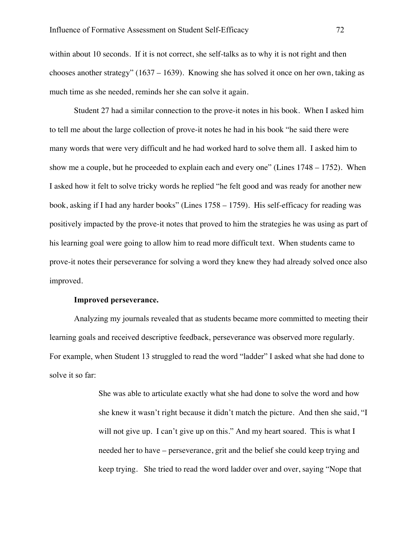within about 10 seconds. If it is not correct, she self-talks as to why it is not right and then chooses another strategy" (1637 – 1639). Knowing she has solved it once on her own, taking as much time as she needed, reminds her she can solve it again.

Student 27 had a similar connection to the prove-it notes in his book. When I asked him to tell me about the large collection of prove-it notes he had in his book "he said there were many words that were very difficult and he had worked hard to solve them all. I asked him to show me a couple, but he proceeded to explain each and every one" (Lines 1748 – 1752). When I asked how it felt to solve tricky words he replied "he felt good and was ready for another new book, asking if I had any harder books" (Lines 1758 – 1759). His self-efficacy for reading was positively impacted by the prove-it notes that proved to him the strategies he was using as part of his learning goal were going to allow him to read more difficult text. When students came to prove-it notes their perseverance for solving a word they knew they had already solved once also improved.

### **Improved perseverance.**

Analyzing my journals revealed that as students became more committed to meeting their learning goals and received descriptive feedback, perseverance was observed more regularly. For example, when Student 13 struggled to read the word "ladder" I asked what she had done to solve it so far:

> She was able to articulate exactly what she had done to solve the word and how she knew it wasn't right because it didn't match the picture. And then she said, "I will not give up. I can't give up on this." And my heart soared. This is what I needed her to have – perseverance, grit and the belief she could keep trying and keep trying. She tried to read the word ladder over and over, saying "Nope that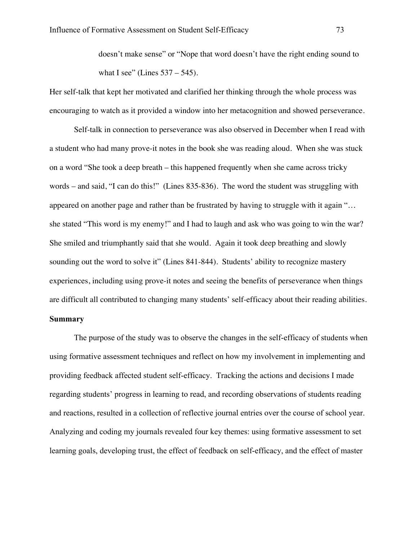doesn't make sense" or "Nope that word doesn't have the right ending sound to what I see" (Lines  $537 - 545$ ).

Her self-talk that kept her motivated and clarified her thinking through the whole process was encouraging to watch as it provided a window into her metacognition and showed perseverance.

Self-talk in connection to perseverance was also observed in December when I read with a student who had many prove-it notes in the book she was reading aloud. When she was stuck on a word "She took a deep breath – this happened frequently when she came across tricky words – and said, "I can do this!" (Lines 835-836). The word the student was struggling with appeared on another page and rather than be frustrated by having to struggle with it again "… she stated "This word is my enemy!" and I had to laugh and ask who was going to win the war? She smiled and triumphantly said that she would. Again it took deep breathing and slowly sounding out the word to solve it" (Lines 841-844). Students' ability to recognize mastery experiences, including using prove-it notes and seeing the benefits of perseverance when things are difficult all contributed to changing many students' self-efficacy about their reading abilities. **Summary**

The purpose of the study was to observe the changes in the self-efficacy of students when using formative assessment techniques and reflect on how my involvement in implementing and providing feedback affected student self-efficacy. Tracking the actions and decisions I made regarding students' progress in learning to read, and recording observations of students reading and reactions, resulted in a collection of reflective journal entries over the course of school year. Analyzing and coding my journals revealed four key themes: using formative assessment to set learning goals, developing trust, the effect of feedback on self-efficacy, and the effect of master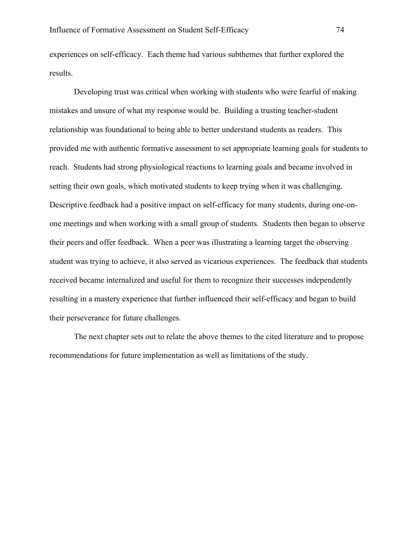experiences on self-efficacy. Each theme had various subthemes that further explored the results.

Developing trust was critical when working with students who were fearful of making mistakes and unsure of what my response would be. Building a trusting teacher-student relationship was foundational to being able to better understand students as readers. This provided me with authentic formative assessment to set appropriate learning goals for students to reach. Students had strong physiological reactions to learning goals and became involved in setting their own goals, which motivated students to keep trying when it was challenging. Descriptive feedback had a positive impact on self-efficacy for many students, during one-onone meetings and when working with a small group of students. Students then began to observe their peers and offer feedback. When a peer was illustrating a learning target the observing student was trying to achieve, it also served as vicarious experiences. The feedback that students received became internalized and useful for them to recognize their successes independently resulting in a mastery experience that further influenced their self-efficacy and began to build their perseverance for future challenges.

The next chapter sets out to relate the above themes to the cited literature and to propose recommendations for future implementation as well as limitations of the study.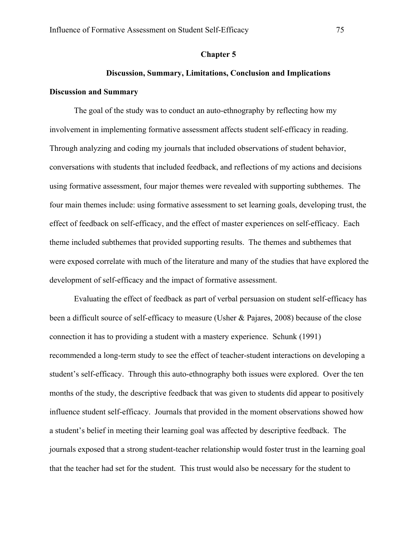# **Chapter 5**

# **Discussion, Summary, Limitations, Conclusion and Implications**

# **Discussion and Summary**

The goal of the study was to conduct an auto-ethnography by reflecting how my involvement in implementing formative assessment affects student self-efficacy in reading. Through analyzing and coding my journals that included observations of student behavior, conversations with students that included feedback, and reflections of my actions and decisions using formative assessment, four major themes were revealed with supporting subthemes. The four main themes include: using formative assessment to set learning goals, developing trust, the effect of feedback on self-efficacy, and the effect of master experiences on self-efficacy. Each theme included subthemes that provided supporting results. The themes and subthemes that were exposed correlate with much of the literature and many of the studies that have explored the development of self-efficacy and the impact of formative assessment.

Evaluating the effect of feedback as part of verbal persuasion on student self-efficacy has been a difficult source of self-efficacy to measure (Usher & Pajares, 2008) because of the close connection it has to providing a student with a mastery experience. Schunk (1991) recommended a long-term study to see the effect of teacher-student interactions on developing a student's self-efficacy. Through this auto-ethnography both issues were explored. Over the ten months of the study, the descriptive feedback that was given to students did appear to positively influence student self-efficacy. Journals that provided in the moment observations showed how a student's belief in meeting their learning goal was affected by descriptive feedback. The journals exposed that a strong student-teacher relationship would foster trust in the learning goal that the teacher had set for the student. This trust would also be necessary for the student to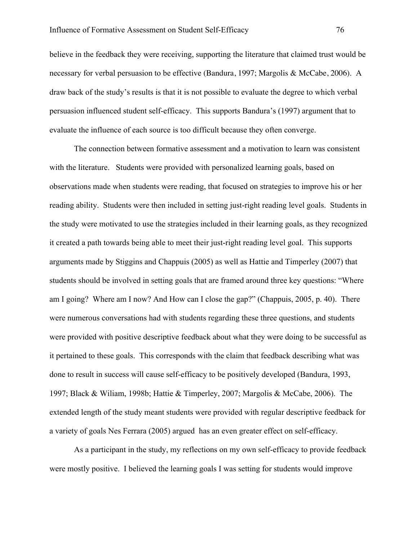believe in the feedback they were receiving, supporting the literature that claimed trust would be necessary for verbal persuasion to be effective (Bandura, 1997; Margolis & McCabe, 2006). A draw back of the study's results is that it is not possible to evaluate the degree to which verbal persuasion influenced student self-efficacy. This supports Bandura's (1997) argument that to evaluate the influence of each source is too difficult because they often converge.

The connection between formative assessment and a motivation to learn was consistent with the literature. Students were provided with personalized learning goals, based on observations made when students were reading, that focused on strategies to improve his or her reading ability. Students were then included in setting just-right reading level goals. Students in the study were motivated to use the strategies included in their learning goals, as they recognized it created a path towards being able to meet their just-right reading level goal. This supports arguments made by Stiggins and Chappuis (2005) as well as Hattie and Timperley (2007) that students should be involved in setting goals that are framed around three key questions: "Where am I going? Where am I now? And How can I close the gap?" (Chappuis, 2005, p. 40). There were numerous conversations had with students regarding these three questions, and students were provided with positive descriptive feedback about what they were doing to be successful as it pertained to these goals. This corresponds with the claim that feedback describing what was done to result in success will cause self-efficacy to be positively developed (Bandura, 1993, 1997; Black & Wiliam, 1998b; Hattie & Timperley, 2007; Margolis & McCabe, 2006). The extended length of the study meant students were provided with regular descriptive feedback for a variety of goals Nes Ferrara (2005) argued has an even greater effect on self-efficacy.

As a participant in the study, my reflections on my own self-efficacy to provide feedback were mostly positive. I believed the learning goals I was setting for students would improve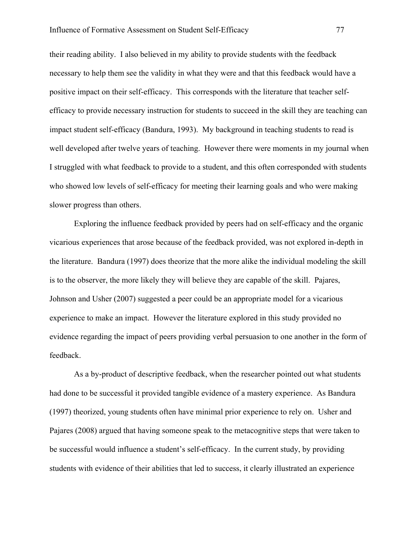their reading ability. I also believed in my ability to provide students with the feedback necessary to help them see the validity in what they were and that this feedback would have a positive impact on their self-efficacy. This corresponds with the literature that teacher selfefficacy to provide necessary instruction for students to succeed in the skill they are teaching can impact student self-efficacy (Bandura, 1993). My background in teaching students to read is well developed after twelve years of teaching. However there were moments in my journal when I struggled with what feedback to provide to a student, and this often corresponded with students who showed low levels of self-efficacy for meeting their learning goals and who were making slower progress than others.

Exploring the influence feedback provided by peers had on self-efficacy and the organic vicarious experiences that arose because of the feedback provided, was not explored in-depth in the literature. Bandura (1997) does theorize that the more alike the individual modeling the skill is to the observer, the more likely they will believe they are capable of the skill. Pajares, Johnson and Usher (2007) suggested a peer could be an appropriate model for a vicarious experience to make an impact. However the literature explored in this study provided no evidence regarding the impact of peers providing verbal persuasion to one another in the form of feedback.

As a by-product of descriptive feedback, when the researcher pointed out what students had done to be successful it provided tangible evidence of a mastery experience. As Bandura (1997) theorized, young students often have minimal prior experience to rely on. Usher and Pajares (2008) argued that having someone speak to the metacognitive steps that were taken to be successful would influence a student's self-efficacy. In the current study, by providing students with evidence of their abilities that led to success, it clearly illustrated an experience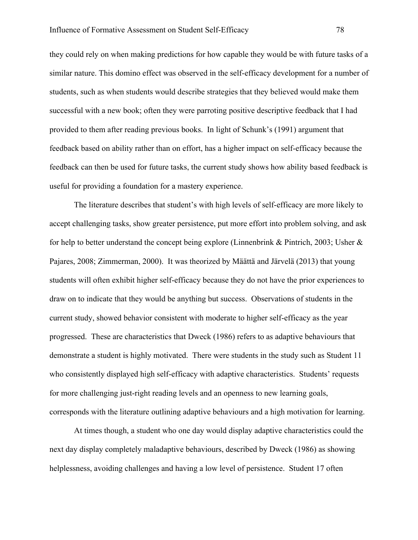they could rely on when making predictions for how capable they would be with future tasks of a similar nature. This domino effect was observed in the self-efficacy development for a number of students, such as when students would describe strategies that they believed would make them successful with a new book; often they were parroting positive descriptive feedback that I had provided to them after reading previous books. In light of Schunk's (1991) argument that feedback based on ability rather than on effort, has a higher impact on self-efficacy because the feedback can then be used for future tasks, the current study shows how ability based feedback is useful for providing a foundation for a mastery experience.

The literature describes that student's with high levels of self-efficacy are more likely to accept challenging tasks, show greater persistence, put more effort into problem solving, and ask for help to better understand the concept being explore (Linnenbrink & Pintrich, 2003; Usher & Pajares, 2008; Zimmerman, 2000). It was theorized by Määttä and Järvelä (2013) that young students will often exhibit higher self-efficacy because they do not have the prior experiences to draw on to indicate that they would be anything but success. Observations of students in the current study, showed behavior consistent with moderate to higher self-efficacy as the year progressed. These are characteristics that Dweck (1986) refers to as adaptive behaviours that demonstrate a student is highly motivated. There were students in the study such as Student 11 who consistently displayed high self-efficacy with adaptive characteristics. Students' requests for more challenging just-right reading levels and an openness to new learning goals, corresponds with the literature outlining adaptive behaviours and a high motivation for learning.

At times though, a student who one day would display adaptive characteristics could the next day display completely maladaptive behaviours, described by Dweck (1986) as showing helplessness, avoiding challenges and having a low level of persistence. Student 17 often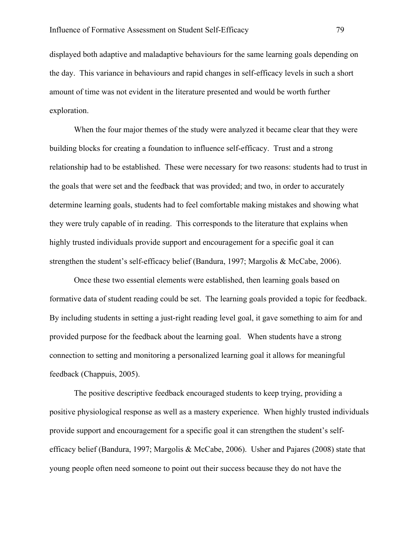displayed both adaptive and maladaptive behaviours for the same learning goals depending on the day. This variance in behaviours and rapid changes in self-efficacy levels in such a short amount of time was not evident in the literature presented and would be worth further exploration.

When the four major themes of the study were analyzed it became clear that they were building blocks for creating a foundation to influence self-efficacy. Trust and a strong relationship had to be established. These were necessary for two reasons: students had to trust in the goals that were set and the feedback that was provided; and two, in order to accurately determine learning goals, students had to feel comfortable making mistakes and showing what they were truly capable of in reading. This corresponds to the literature that explains when highly trusted individuals provide support and encouragement for a specific goal it can strengthen the student's self-efficacy belief (Bandura, 1997; Margolis & McCabe, 2006).

Once these two essential elements were established, then learning goals based on formative data of student reading could be set. The learning goals provided a topic for feedback. By including students in setting a just-right reading level goal, it gave something to aim for and provided purpose for the feedback about the learning goal. When students have a strong connection to setting and monitoring a personalized learning goal it allows for meaningful feedback (Chappuis, 2005).

The positive descriptive feedback encouraged students to keep trying, providing a positive physiological response as well as a mastery experience. When highly trusted individuals provide support and encouragement for a specific goal it can strengthen the student's selfefficacy belief (Bandura, 1997; Margolis & McCabe, 2006). Usher and Pajares (2008) state that young people often need someone to point out their success because they do not have the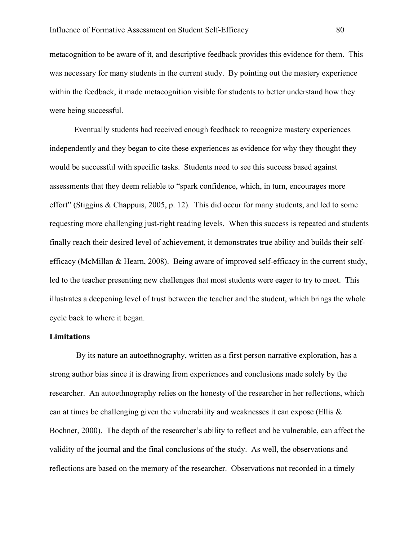metacognition to be aware of it, and descriptive feedback provides this evidence for them. This was necessary for many students in the current study. By pointing out the mastery experience within the feedback, it made metacognition visible for students to better understand how they were being successful.

Eventually students had received enough feedback to recognize mastery experiences independently and they began to cite these experiences as evidence for why they thought they would be successful with specific tasks. Students need to see this success based against assessments that they deem reliable to "spark confidence, which, in turn, encourages more effort" (Stiggins & Chappuis, 2005, p. 12). This did occur for many students, and led to some requesting more challenging just-right reading levels. When this success is repeated and students finally reach their desired level of achievement, it demonstrates true ability and builds their selfefficacy (McMillan & Hearn, 2008). Being aware of improved self-efficacy in the current study, led to the teacher presenting new challenges that most students were eager to try to meet. This illustrates a deepening level of trust between the teacher and the student, which brings the whole cycle back to where it began.

# **Limitations**

By its nature an autoethnography, written as a first person narrative exploration, has a strong author bias since it is drawing from experiences and conclusions made solely by the researcher. An autoethnography relies on the honesty of the researcher in her reflections, which can at times be challenging given the vulnerability and weaknesses it can expose (Ellis  $\&$ Bochner, 2000). The depth of the researcher's ability to reflect and be vulnerable, can affect the validity of the journal and the final conclusions of the study. As well, the observations and reflections are based on the memory of the researcher. Observations not recorded in a timely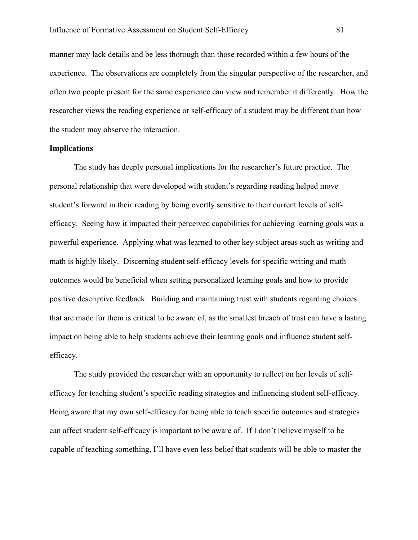manner may lack details and be less thorough than those recorded within a few hours of the experience. The observations are completely from the singular perspective of the researcher, and often two people present for the same experience can view and remember it differently. How the researcher views the reading experience or self-efficacy of a student may be different than how the student may observe the interaction.

### **Implications**

The study has deeply personal implications for the researcher's future practice. The personal relationship that were developed with student's regarding reading helped move student's forward in their reading by being overtly sensitive to their current levels of selfefficacy. Seeing how it impacted their perceived capabilities for achieving learning goals was a powerful experience. Applying what was learned to other key subject areas such as writing and math is highly likely. Discerning student self-efficacy levels for specific writing and math outcomes would be beneficial when setting personalized learning goals and how to provide positive descriptive feedback. Building and maintaining trust with students regarding choices that are made for them is critical to be aware of, as the smallest breach of trust can have a lasting impact on being able to help students achieve their learning goals and influence student selfefficacy.

The study provided the researcher with an opportunity to reflect on her levels of selfefficacy for teaching student's specific reading strategies and influencing student self-efficacy. Being aware that my own self-efficacy for being able to teach specific outcomes and strategies can affect student self-efficacy is important to be aware of. If I don't believe myself to be capable of teaching something, I'll have even less belief that students will be able to master the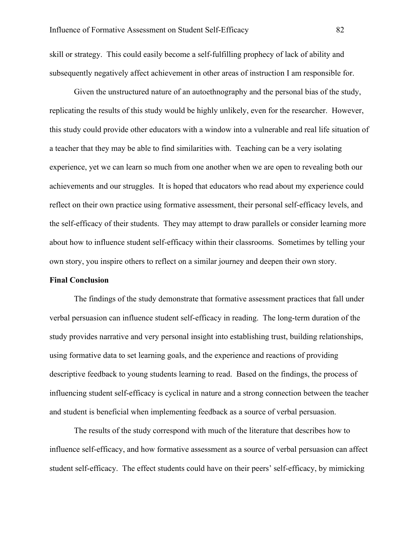skill or strategy. This could easily become a self-fulfilling prophecy of lack of ability and subsequently negatively affect achievement in other areas of instruction I am responsible for.

Given the unstructured nature of an autoethnography and the personal bias of the study, replicating the results of this study would be highly unlikely, even for the researcher. However, this study could provide other educators with a window into a vulnerable and real life situation of a teacher that they may be able to find similarities with. Teaching can be a very isolating experience, yet we can learn so much from one another when we are open to revealing both our achievements and our struggles. It is hoped that educators who read about my experience could reflect on their own practice using formative assessment, their personal self-efficacy levels, and the self-efficacy of their students. They may attempt to draw parallels or consider learning more about how to influence student self-efficacy within their classrooms. Sometimes by telling your own story, you inspire others to reflect on a similar journey and deepen their own story.

# **Final Conclusion**

The findings of the study demonstrate that formative assessment practices that fall under verbal persuasion can influence student self-efficacy in reading. The long-term duration of the study provides narrative and very personal insight into establishing trust, building relationships, using formative data to set learning goals, and the experience and reactions of providing descriptive feedback to young students learning to read. Based on the findings, the process of influencing student self-efficacy is cyclical in nature and a strong connection between the teacher and student is beneficial when implementing feedback as a source of verbal persuasion.

The results of the study correspond with much of the literature that describes how to influence self-efficacy, and how formative assessment as a source of verbal persuasion can affect student self-efficacy. The effect students could have on their peers' self-efficacy, by mimicking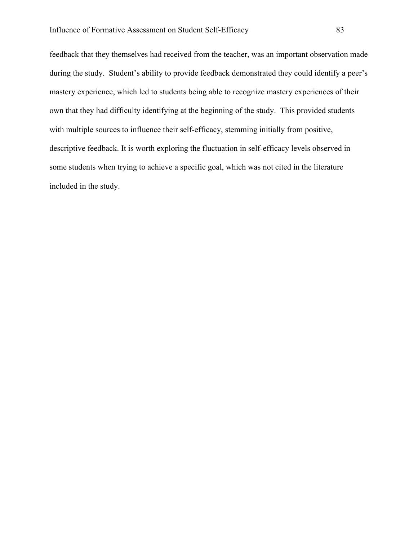feedback that they themselves had received from the teacher, was an important observation made during the study. Student's ability to provide feedback demonstrated they could identify a peer's mastery experience, which led to students being able to recognize mastery experiences of their own that they had difficulty identifying at the beginning of the study. This provided students with multiple sources to influence their self-efficacy, stemming initially from positive, descriptive feedback. It is worth exploring the fluctuation in self-efficacy levels observed in some students when trying to achieve a specific goal, which was not cited in the literature included in the study.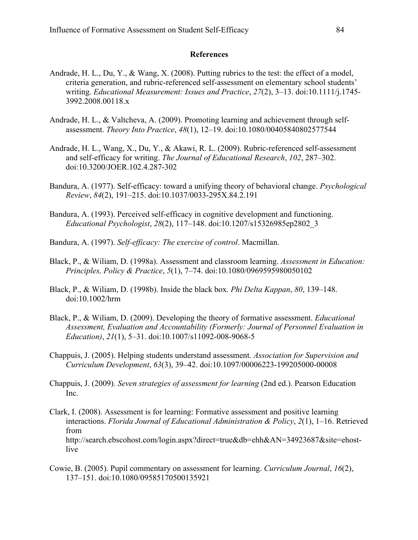# **References**

- Andrade, H. L., Du, Y., & Wang, X. (2008). Putting rubrics to the test: the effect of a model, criteria generation, and rubric-referenced self-assessment on elementary school students' writing. *Educational Measurement: Issues and Practice*, *27*(2), 3–13. doi:10.1111/j.1745- 3992.2008.00118.x
- Andrade, H. L., & Valtcheva, A. (2009). Promoting learning and achievement through selfassessment. *Theory Into Practice*, *48*(1), 12–19. doi:10.1080/00405840802577544
- Andrade, H. L., Wang, X., Du, Y., & Akawi, R. L. (2009). Rubric-referenced self-assessment and self-efficacy for writing. *The Journal of Educational Research*, *102*, 287–302. doi:10.3200/JOER.102.4.287-302
- Bandura, A. (1977). Self-efficacy: toward a unifying theory of behavioral change. *Psychological Review*, *84*(2), 191–215. doi:10.1037/0033-295X.84.2.191
- Bandura, A. (1993). Perceived self-efficacy in cognitive development and functioning. *Educational Psychologist*, *28*(2), 117–148. doi:10.1207/s15326985ep2802\_3
- Bandura, A. (1997). *Self-efficacy: The exercise of control*. Macmillan.
- Black, P., & Wiliam, D. (1998a). Assessment and classroom learning. *Assessment in Education: Principles, Policy & Practice*, *5*(1), 7–74. doi:10.1080/0969595980050102
- Black, P., & Wiliam, D. (1998b). Inside the black box. *Phi Delta Kappan*, *80*, 139–148. doi:10.1002/hrm
- Black, P., & Wiliam, D. (2009). Developing the theory of formative assessment. *Educational Assessment, Evaluation and Accountability (Formerly: Journal of Personnel Evaluation in Education)*, *21*(1), 5–31. doi:10.1007/s11092-008-9068-5
- Chappuis, J. (2005). Helping students understand assessment. *Association for Supervision and Curriculum Development*, *63*(3), 39–42. doi:10.1097/00006223-199205000-00008
- Chappuis, J. (2009). *Seven strategies of assessment for learning* (2nd ed.). Pearson Education Inc.
- Clark, I. (2008). Assessment is for learning: Formative assessment and positive learning interactions. *Florida Journal of Educational Administration & Policy*, *2*(1), 1–16. Retrieved from http://search.ebscohost.com/login.aspx?direct=true&db=ehh&AN=34923687&site=ehostlive
- Cowie, B. (2005). Pupil commentary on assessment for learning. *Curriculum Journal*, *16*(2), 137–151. doi:10.1080/09585170500135921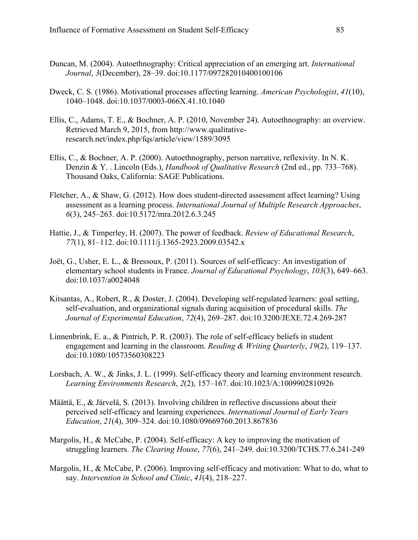- Duncan, M. (2004). Autoethnography: Critical appreciation of an emerging art. *International Journal*, *3*(December), 28–39. doi:10.1177/097282010400100106
- Dweck, C. S. (1986). Motivational processes affecting learning. *American Psychologist*, *41*(10), 1040–1048. doi:10.1037/0003-066X.41.10.1040
- Ellis, C., Adams, T. E., & Bochner, A. P. (2010, November 24). Autoethnography: an overview. Retrieved March 9, 2015, from http://www.qualitativeresearch.net/index.php/fqs/article/view/1589/3095
- Ellis, C., & Bochner, A. P. (2000). Autoethnography, person narrative, reflexivity. In N. K. Denzin & Y. . Lincoln (Eds.), *Handbook of Qualitative Research* (2nd ed., pp. 733–768). Thousand Oaks, California: SAGE Publications.
- Fletcher, A., & Shaw, G. (2012). How does student-directed assessment affect learning? Using assessment as a learning process. *International Journal of Multiple Research Approaches*, *6*(3), 245–263. doi:10.5172/mra.2012.6.3.245
- Hattie, J., & Timperley, H. (2007). The power of feedback. *Review of Educational Research*, *77*(1), 81–112. doi:10.1111/j.1365-2923.2009.03542.x
- Joët, G., Usher, E. L., & Bressoux, P. (2011). Sources of self-efficacy: An investigation of elementary school students in France. *Journal of Educational Psychology*, *103*(3), 649–663. doi:10.1037/a0024048
- Kitsantas, A., Robert, R., & Doster, J. (2004). Developing self-regulated learners: goal setting, self-evaluation, and organizational signals during acquisition of procedural skills. *The Journal of Experimental Education*, *72*(4), 269–287. doi:10.3200/JEXE.72.4.269-287
- Linnenbrink, E. a., & Pintrich, P. R. (2003). The role of self-efficacy beliefs in student engagement and learning in the classroom. *Reading & Writing Quarterly*, *19*(2), 119–137. doi:10.1080/10573560308223
- Lorsbach, A. W., & Jinks, J. L. (1999). Self-efficacy theory and learning environment research. *Learning Environments Research*, *2*(2), 157–167. doi:10.1023/A:1009902810926
- Määttä, E., & Järvelä, S. (2013). Involving children in reflective discussions about their perceived self-efficacy and learning experiences. *International Journal of Early Years Education*, *21*(4), 309–324. doi:10.1080/09669760.2013.867836
- Margolis, H., & McCabe, P. (2004). Self-efficacy: A key to improving the motivation of struggling learners. *The Clearing House*, *77*(6), 241–249. doi:10.3200/TCHS.77.6.241-249
- Margolis, H., & McCabe, P. (2006). Improving self-efficacy and motivation: What to do, what to say. *Intervention in School and Clinic*, *41*(4), 218–227.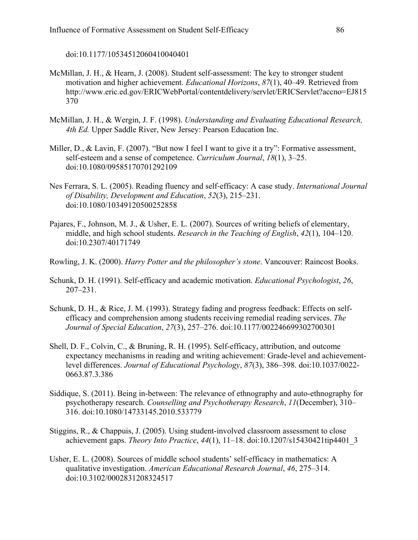doi:10.1177/10534512060410040401

- McMillan, J. H., & Hearn, J. (2008). Student self-assessment: The key to stronger student motivation and higher achievement. *Educational Horizons*, *87*(1), 40–49. Retrieved from http://www.eric.ed.gov/ERICWebPortal/contentdelivery/servlet/ERICServlet?accno=EJ815 370
- McMillan, J. H., & Wergin, J. F. (1998). *Understanding and Evaluating Educational Research, 4th Ed.* Upper Saddle River, New Jersey: Pearson Education Inc.
- Miller, D., & Lavin, F. (2007). "But now I feel I want to give it a try": Formative assessment, self-esteem and a sense of competence. *Curriculum Journal*, *18*(1), 3–25. doi:10.1080/09585170701292109
- Nes Ferrara, S. L. (2005). Reading fluency and self‐efficacy: A case study. *International Journal of Disability, Development and Education*, *52*(3), 215–231. doi:10.1080/10349120500252858
- Pajares, F., Johnson, M. J., & Usher, E. L. (2007). Sources of writing beliefs of elementary, middle, and high school students. *Research in the Teaching of English*, *42*(1), 104–120. doi:10.2307/40171749
- Rowling, J. K. (2000). *Harry Potter and the philosopher's stone*. Vancouver: Raincost Books.
- Schunk, D. H. (1991). Self-efficacy and academic motivation. *Educational Psychologist*, *26*, 207–231.
- Schunk, D. H., & Rice, J. M. (1993). Strategy fading and progress feedback: Effects on selfefficacy and comprehension among students receiving remedial reading services. *The Journal of Special Education*, *27*(3), 257–276. doi:10.1177/002246699302700301
- Shell, D. F., Colvin, C., & Bruning, R. H. (1995). Self-efficacy, attribution, and outcome expectancy mechanisms in reading and writing achievement: Grade-level and achievementlevel differences. *Journal of Educational Psychology*, *87*(3), 386–398. doi:10.1037/0022- 0663.87.3.386
- Siddique, S. (2011). Being in-between: The relevance of ethnography and auto-ethnography for psychotherapy research. *Counselling and Psychotherapy Research*, *11*(December), 310– 316. doi:10.1080/14733145.2010.533779
- Stiggins, R., & Chappuis, J. (2005). Using student-involved classroom assessment to close achievement gaps. *Theory Into Practice*, *44*(1), 11–18. doi:10.1207/s15430421tip4401\_3
- Usher, E. L. (2008). Sources of middle school students' self-efficacy in mathematics: A qualitative investigation. *American Educational Research Journal*, *46*, 275–314. doi:10.3102/0002831208324517